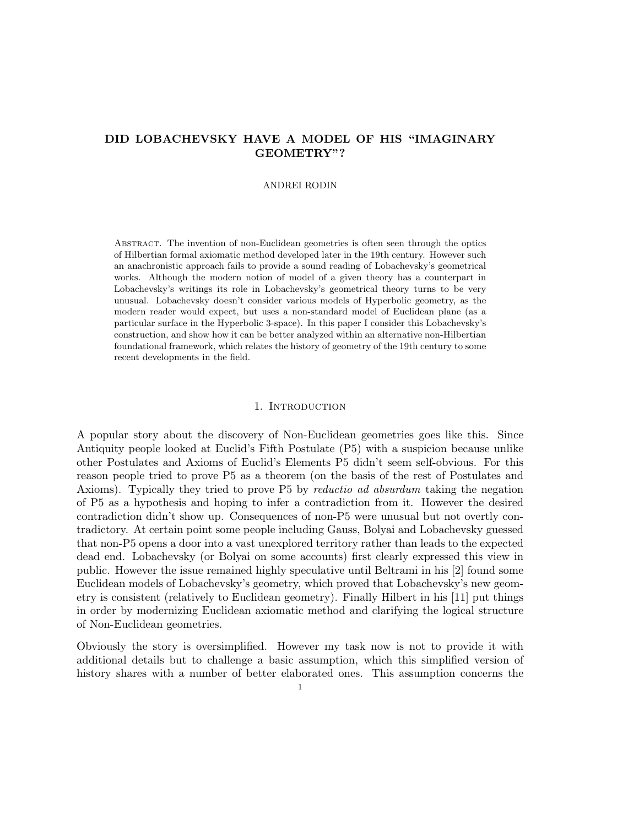# DID LOBACHEVSKY HAVE A MODEL OF HIS "IMAGINARY GEOMETRY"?

## ANDREI RODIN

Abstract. The invention of non-Euclidean geometries is often seen through the optics of Hilbertian formal axiomatic method developed later in the 19th century. However such an anachronistic approach fails to provide a sound reading of Lobachevsky's geometrical works. Although the modern notion of model of a given theory has a counterpart in Lobachevsky's writings its role in Lobachevsky's geometrical theory turns to be very unusual. Lobachevsky doesn't consider various models of Hyperbolic geometry, as the modern reader would expect, but uses a non-standard model of Euclidean plane (as a particular surface in the Hyperbolic 3-space). In this paper I consider this Lobachevsky's construction, and show how it can be better analyzed within an alternative non-Hilbertian foundational framework, which relates the history of geometry of the 19th century to some recent developments in the field.

#### 1. INTRODUCTION

A popular story about the discovery of Non-Euclidean geometries goes like this. Since Antiquity people looked at Euclid's Fifth Postulate (P5) with a suspicion because unlike other Postulates and Axioms of Euclid's Elements P5 didn't seem self-obvious. For this reason people tried to prove P5 as a theorem (on the basis of the rest of Postulates and Axioms). Typically they tried to prove P5 by reductio ad absurdum taking the negation of P5 as a hypothesis and hoping to infer a contradiction from it. However the desired contradiction didn't show up. Consequences of non-P5 were unusual but not overtly contradictory. At certain point some people including Gauss, Bolyai and Lobachevsky guessed that non-P5 opens a door into a vast unexplored territory rather than leads to the expected dead end. Lobachevsky (or Bolyai on some accounts) first clearly expressed this view in public. However the issue remained highly speculative until Beltrami in his [2] found some Euclidean models of Lobachevsky's geometry, which proved that Lobachevsky's new geometry is consistent (relatively to Euclidean geometry). Finally Hilbert in his [11] put things in order by modernizing Euclidean axiomatic method and clarifying the logical structure of Non-Euclidean geometries.

Obviously the story is oversimplified. However my task now is not to provide it with additional details but to challenge a basic assumption, which this simplified version of history shares with a number of better elaborated ones. This assumption concerns the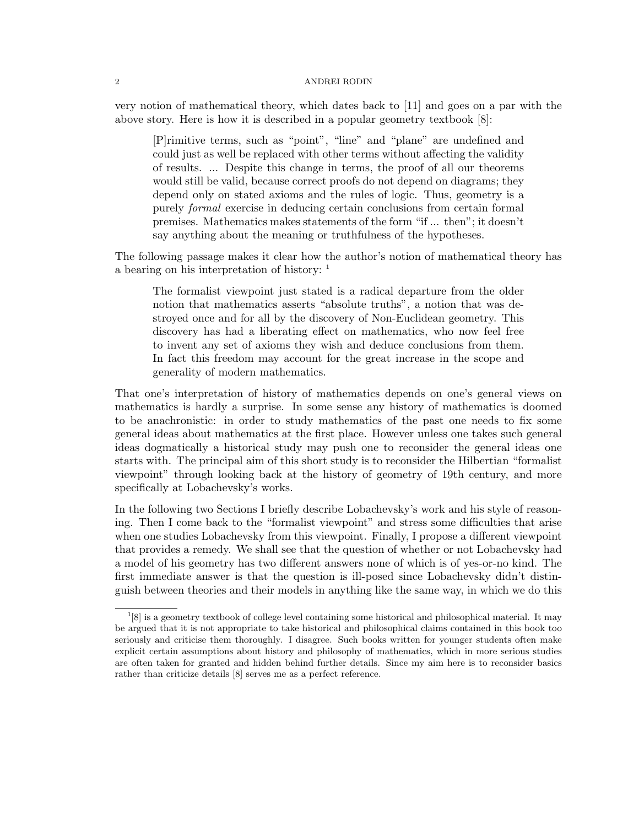very notion of mathematical theory, which dates back to [11] and goes on a par with the above story. Here is how it is described in a popular geometry textbook [8]:

[P]rimitive terms, such as "point", "line" and "plane" are undefined and could just as well be replaced with other terms without affecting the validity of results. ... Despite this change in terms, the proof of all our theorems would still be valid, because correct proofs do not depend on diagrams; they depend only on stated axioms and the rules of logic. Thus, geometry is a purely formal exercise in deducing certain conclusions from certain formal premises. Mathematics makes statements of the form "if ... then"; it doesn't say anything about the meaning or truthfulness of the hypotheses.

The following passage makes it clear how the author's notion of mathematical theory has a bearing on his interpretation of history: <sup>1</sup>

The formalist viewpoint just stated is a radical departure from the older notion that mathematics asserts "absolute truths", a notion that was destroyed once and for all by the discovery of Non-Euclidean geometry. This discovery has had a liberating effect on mathematics, who now feel free to invent any set of axioms they wish and deduce conclusions from them. In fact this freedom may account for the great increase in the scope and generality of modern mathematics.

That one's interpretation of history of mathematics depends on one's general views on mathematics is hardly a surprise. In some sense any history of mathematics is doomed to be anachronistic: in order to study mathematics of the past one needs to fix some general ideas about mathematics at the first place. However unless one takes such general ideas dogmatically a historical study may push one to reconsider the general ideas one starts with. The principal aim of this short study is to reconsider the Hilbertian "formalist viewpoint" through looking back at the history of geometry of 19th century, and more specifically at Lobachevsky's works.

In the following two Sections I briefly describe Lobachevsky's work and his style of reasoning. Then I come back to the "formalist viewpoint" and stress some difficulties that arise when one studies Lobachevsky from this viewpoint. Finally, I propose a different viewpoint that provides a remedy. We shall see that the question of whether or not Lobachevsky had a model of his geometry has two different answers none of which is of yes-or-no kind. The first immediate answer is that the question is ill-posed since Lobachevsky didn't distinguish between theories and their models in anything like the same way, in which we do this

 $^{1}[8]$  is a geometry textbook of college level containing some historical and philosophical material. It may be argued that it is not appropriate to take historical and philosophical claims contained in this book too seriously and criticise them thoroughly. I disagree. Such books written for younger students often make explicit certain assumptions about history and philosophy of mathematics, which in more serious studies are often taken for granted and hidden behind further details. Since my aim here is to reconsider basics rather than criticize details [8] serves me as a perfect reference.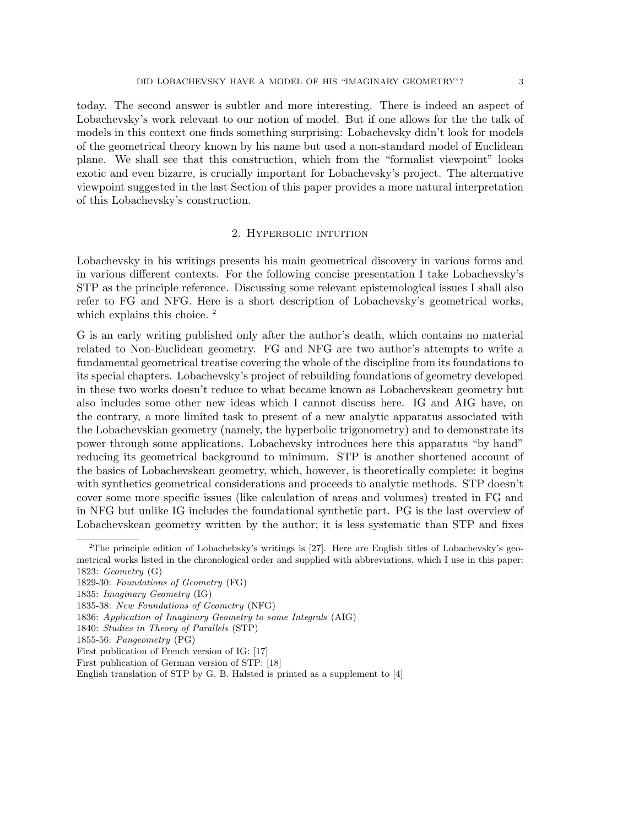today. The second answer is subtler and more interesting. There is indeed an aspect of Lobachevsky's work relevant to our notion of model. But if one allows for the the talk of models in this context one finds something surprising: Lobachevsky didn't look for models of the geometrical theory known by his name but used a non-standard model of Euclidean plane. We shall see that this construction, which from the "formalist viewpoint" looks exotic and even bizarre, is crucially important for Lobachevsky's project. The alternative viewpoint suggested in the last Section of this paper provides a more natural interpretation of this Lobachevsky's construction.

### 2. Hyperbolic intuition

Lobachevsky in his writings presents his main geometrical discovery in various forms and in various different contexts. For the following concise presentation I take Lobachevsky's STP as the principle reference. Discussing some relevant epistemological issues I shall also refer to FG and NFG. Here is a short description of Lobachevsky's geometrical works, which explains this choice.<sup>2</sup>

G is an early writing published only after the author's death, which contains no material related to Non-Euclidean geometry. FG and NFG are two author's attempts to write a fundamental geometrical treatise covering the whole of the discipline from its foundations to its special chapters. Lobachevsky's project of rebuilding foundations of geometry developed in these two works doesn't reduce to what became known as Lobachevskean geometry but also includes some other new ideas which I cannot discuss here. IG and AIG have, on the contrary, a more limited task to present of a new analytic apparatus associated with the Lobachevskian geometry (namely, the hyperbolic trigonometry) and to demonstrate its power through some applications. Lobachevsky introduces here this apparatus "by hand" reducing its geometrical background to minimum. STP is another shortened account of the basics of Lobachevskean geometry, which, however, is theoretically complete: it begins with synthetics geometrical considerations and proceeds to analytic methods. STP doesn't cover some more specific issues (like calculation of areas and volumes) treated in FG and in NFG but unlike IG includes the foundational synthetic part. PG is the last overview of Lobachevskean geometry written by the author; it is less systematic than STP and fixes

<sup>2</sup>The principle edition of Lobachebsky's writings is [27]. Here are English titles of Lobachevsky's geometrical works listed in the chronological order and supplied with abbreviations, which I use in this paper: 1823: Geometry (G)

<sup>1829-30:</sup> Foundations of Geometry (FG)

<sup>1835:</sup> Imaginary Geometry (IG)

<sup>1835-38:</sup> New Foundations of Geometry (NFG)

<sup>1836:</sup> Application of Imaginary Geometry to some Integrals (AIG)

<sup>1840:</sup> Studies in Theory of Parallels (STP)

<sup>1855-56:</sup> Pangeometry (PG)

First publication of French version of IG: [17]

First publication of German version of STP: [18]

English translation of STP by G. B. Halsted is printed as a supplement to [4]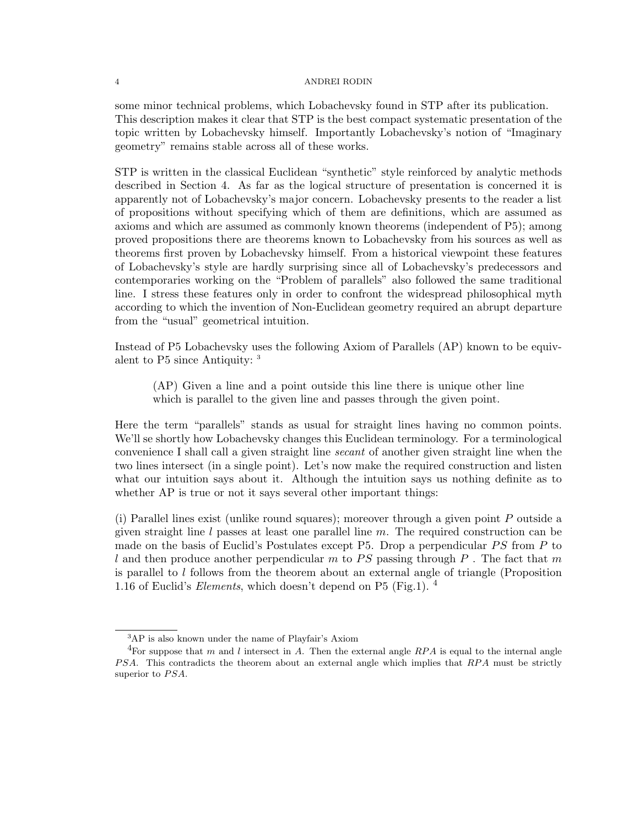some minor technical problems, which Lobachevsky found in STP after its publication. This description makes it clear that STP is the best compact systematic presentation of the topic written by Lobachevsky himself. Importantly Lobachevsky's notion of "Imaginary geometry" remains stable across all of these works.

STP is written in the classical Euclidean "synthetic" style reinforced by analytic methods described in Section 4. As far as the logical structure of presentation is concerned it is apparently not of Lobachevsky's major concern. Lobachevsky presents to the reader a list of propositions without specifying which of them are definitions, which are assumed as axioms and which are assumed as commonly known theorems (independent of P5); among proved propositions there are theorems known to Lobachevsky from his sources as well as theorems first proven by Lobachevsky himself. From a historical viewpoint these features of Lobachevsky's style are hardly surprising since all of Lobachevsky's predecessors and contemporaries working on the "Problem of parallels" also followed the same traditional line. I stress these features only in order to confront the widespread philosophical myth according to which the invention of Non-Euclidean geometry required an abrupt departure from the "usual" geometrical intuition.

Instead of P5 Lobachevsky uses the following Axiom of Parallels (AP) known to be equivalent to P5 since Antiquity: <sup>3</sup>

(AP) Given a line and a point outside this line there is unique other line which is parallel to the given line and passes through the given point.

Here the term "parallels" stands as usual for straight lines having no common points. We'll se shortly how Lobachevsky changes this Euclidean terminology. For a terminological convenience I shall call a given straight line secant of another given straight line when the two lines intersect (in a single point). Let's now make the required construction and listen what our intuition says about it. Although the intuition says us nothing definite as to whether AP is true or not it says several other important things:

(i) Parallel lines exist (unlike round squares); moreover through a given point P outside a given straight line  $l$  passes at least one parallel line  $m$ . The required construction can be made on the basis of Euclid's Postulates except P5. Drop a perpendicular  $PS$  from P to l and then produce another perpendicular m to PS passing through P. The fact that m is parallel to  $l$  follows from the theorem about an external angle of triangle (Proposition 1.16 of Euclid's *Elements*, which doesn't depend on P5 (Fig.1).  $^4$ 

<sup>3</sup>AP is also known under the name of Playfair's Axiom

<sup>&</sup>lt;sup>4</sup>For suppose that m and l intersect in A. Then the external angle RPA is equal to the internal angle PSA. This contradicts the theorem about an external angle which implies that RPA must be strictly superior to  $PSA$ .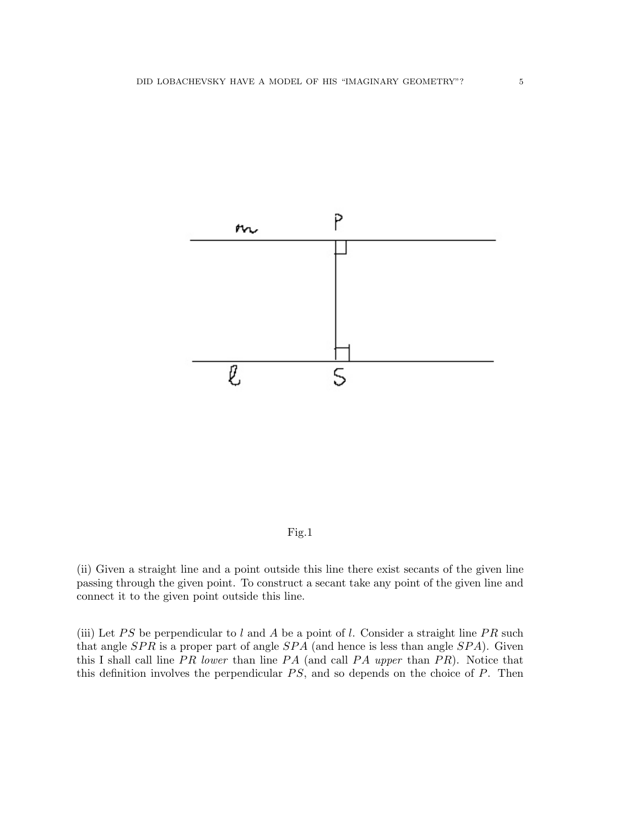

Fig.1

(ii) Given a straight line and a point outside this line there exist secants of the given line passing through the given point. To construct a secant take any point of the given line and connect it to the given point outside this line.

(iii) Let PS be perpendicular to l and A be a point of l. Consider a straight line PR such that angle  $SPR$  is a proper part of angle  $SPA$  (and hence is less than angle  $SPA$ ). Given this I shall call line  $PR$  lower than line  $PA$  (and call  $PA$  upper than  $PR$ ). Notice that this definition involves the perpendicular  $PS$ , and so depends on the choice of  $P$ . Then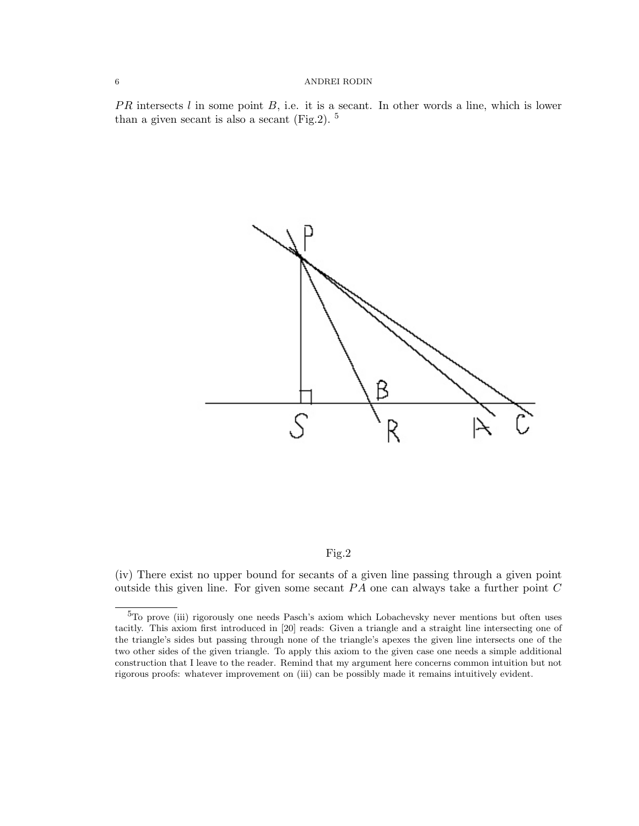$PR$  intersects l in some point B, i.e. it is a secant. In other words a line, which is lower than a given secant is also a secant  $(Fig.2)$ . <sup>5</sup>



### Fig.2

(iv) There exist no upper bound for secants of a given line passing through a given point outside this given line. For given some secant  $PA$  one can always take a further point  $C$ 

<sup>5</sup>To prove (iii) rigorously one needs Pasch's axiom which Lobachevsky never mentions but often uses tacitly. This axiom first introduced in [20] reads: Given a triangle and a straight line intersecting one of the triangle's sides but passing through none of the triangle's apexes the given line intersects one of the two other sides of the given triangle. To apply this axiom to the given case one needs a simple additional construction that I leave to the reader. Remind that my argument here concerns common intuition but not rigorous proofs: whatever improvement on (iii) can be possibly made it remains intuitively evident.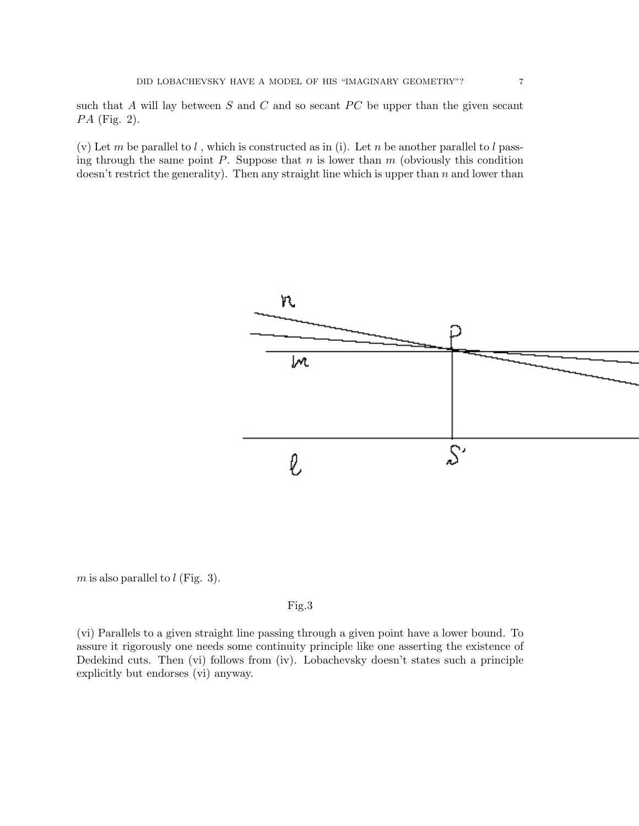such that A will lay between  $S$  and  $C$  and so secant  $PC$  be upper than the given secant  $PA$  (Fig. 2).

(v) Let m be parallel to  $l$ , which is constructed as in (i). Let n be another parallel to  $l$  passing through the same point  $P$ . Suppose that  $n$  is lower than  $m$  (obviously this condition doesn't restrict the generality). Then any straight line which is upper than  $n$  and lower than



 $m$  is also parallel to  $l$  (Fig. 3).

## Fig.3

(vi) Parallels to a given straight line passing through a given point have a lower bound. To assure it rigorously one needs some continuity principle like one asserting the existence of Dedekind cuts. Then (vi) follows from (iv). Lobachevsky doesn't states such a principle explicitly but endorses (vi) anyway.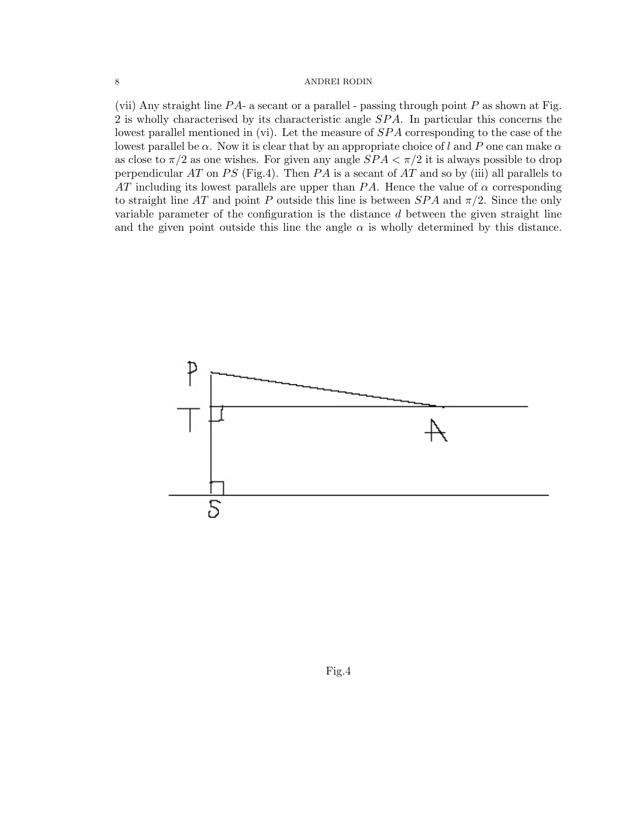(vii) Any straight line  $PA$ - a secant or a parallel - passing through point  $P$  as shown at Fig. 2 is wholly characterised by its characteristic angle SPA. In particular this concerns the lowest parallel mentioned in (vi). Let the measure of  $SPA$  corresponding to the case of the lowest parallel be  $\alpha$ . Now it is clear that by an appropriate choice of l and P one can make  $\alpha$ as close to  $\pi/2$  as one wishes. For given any angle  $SPA < \pi/2$  it is always possible to drop perpendicular AT on PS (Fig.4). Then PA is a secant of AT and so by (iii) all parallels to AT including its lowest parallels are upper than  $PA$ . Hence the value of  $\alpha$  corresponding to straight line AT and point P outside this line is between  $SPA$  and  $\pi/2$ . Since the only variable parameter of the configuration is the distance d between the given straight line and the given point outside this line the angle  $\alpha$  is wholly determined by this distance.

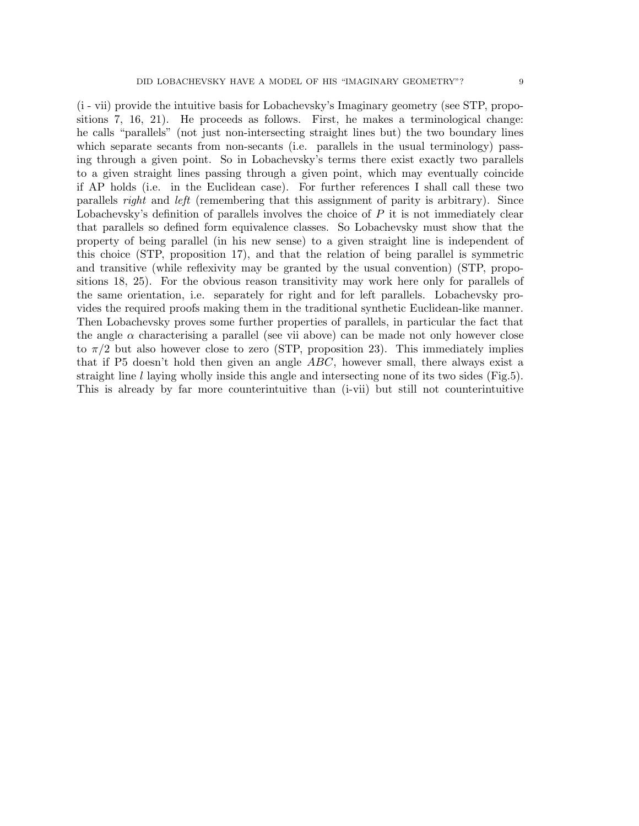(i - vii) provide the intuitive basis for Lobachevsky's Imaginary geometry (see STP, propositions 7, 16, 21). He proceeds as follows. First, he makes a terminological change: he calls "parallels" (not just non-intersecting straight lines but) the two boundary lines which separate secants from non-secants (i.e. parallels in the usual terminology) passing through a given point. So in Lobachevsky's terms there exist exactly two parallels to a given straight lines passing through a given point, which may eventually coincide if AP holds (i.e. in the Euclidean case). For further references I shall call these two parallels right and left (remembering that this assignment of parity is arbitrary). Since Lobachevsky's definition of parallels involves the choice of  $P$  it is not immediately clear that parallels so defined form equivalence classes. So Lobachevsky must show that the property of being parallel (in his new sense) to a given straight line is independent of this choice (STP, proposition 17), and that the relation of being parallel is symmetric and transitive (while reflexivity may be granted by the usual convention) (STP, propositions 18, 25). For the obvious reason transitivity may work here only for parallels of the same orientation, i.e. separately for right and for left parallels. Lobachevsky provides the required proofs making them in the traditional synthetic Euclidean-like manner. Then Lobachevsky proves some further properties of parallels, in particular the fact that

the angle  $\alpha$  characterising a parallel (see vii above) can be made not only however close to  $\pi/2$  but also however close to zero (STP, proposition 23). This immediately implies that if P5 doesn't hold then given an angle ABC, however small, there always exist a straight line l laying wholly inside this angle and intersecting none of its two sides (Fig.5). This is already by far more counterintuitive than (i-vii) but still not counterintuitive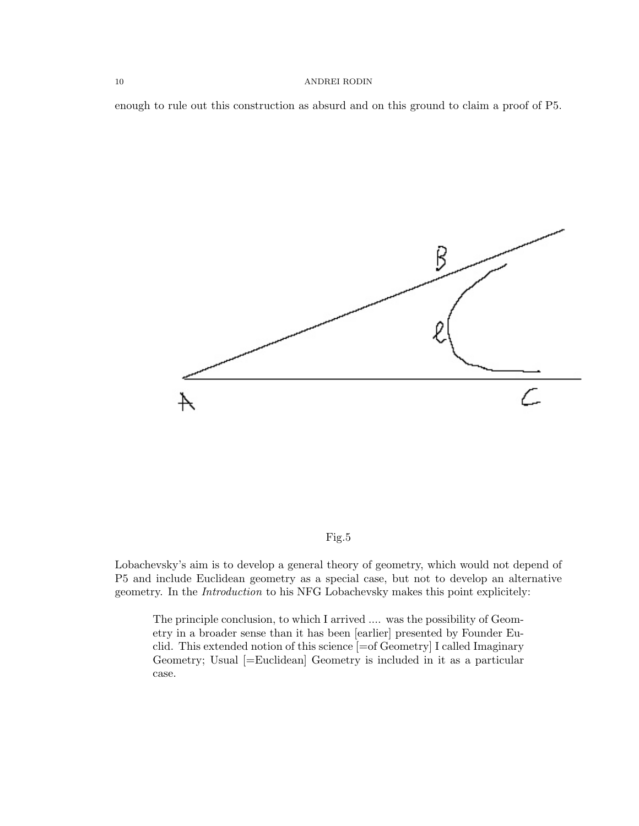enough to rule out this construction as absurd and on this ground to claim a proof of P5.



Fig.5

Lobachevsky's aim is to develop a general theory of geometry, which would not depend of P5 and include Euclidean geometry as a special case, but not to develop an alternative geometry. In the Introduction to his NFG Lobachevsky makes this point explicitely:

The principle conclusion, to which I arrived .... was the possibility of Geometry in a broader sense than it has been [earlier] presented by Founder Euclid. This extended notion of this science [=of Geometry] I called Imaginary Geometry; Usual [=Euclidean] Geometry is included in it as a particular case.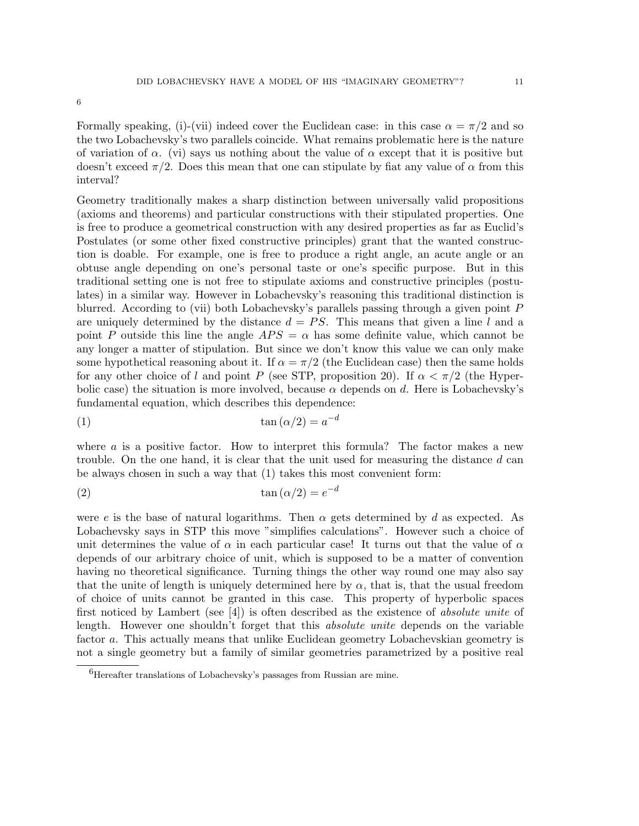Formally speaking, (i)-(vii) indeed cover the Euclidean case: in this case  $\alpha = \pi/2$  and so the two Lobachevsky's two parallels coincide. What remains problematic here is the nature of variation of  $\alpha$ . (vi) says us nothing about the value of  $\alpha$  except that it is positive but doesn't exceed  $\pi/2$ . Does this mean that one can stipulate by fiat any value of  $\alpha$  from this interval?

Geometry traditionally makes a sharp distinction between universally valid propositions (axioms and theorems) and particular constructions with their stipulated properties. One is free to produce a geometrical construction with any desired properties as far as Euclid's Postulates (or some other fixed constructive principles) grant that the wanted construction is doable. For example, one is free to produce a right angle, an acute angle or an obtuse angle depending on one's personal taste or one's specific purpose. But in this traditional setting one is not free to stipulate axioms and constructive principles (postulates) in a similar way. However in Lobachevsky's reasoning this traditional distinction is blurred. According to (vii) both Lobachevsky's parallels passing through a given point P are uniquely determined by the distance  $d = PS$ . This means that given a line l and a point P outside this line the angle  $APS = \alpha$  has some definite value, which cannot be any longer a matter of stipulation. But since we don't know this value we can only make some hypothetical reasoning about it. If  $\alpha = \pi/2$  (the Euclidean case) then the same holds for any other choice of l and point P (see STP, proposition 20). If  $\alpha < \pi/2$  (the Hyperbolic case) the situation is more involved, because  $\alpha$  depends on d. Here is Lobachevsky's fundamental equation, which describes this dependence:

$$
\tan(\alpha/2) = a^{-d}
$$

where  $a$  is a positive factor. How to interpret this formula? The factor makes a new trouble. On the one hand, it is clear that the unit used for measuring the distance d can be always chosen in such a way that (1) takes this most convenient form:

$$
\tan(\alpha/2) = e^{-d}
$$

were e is the base of natural logarithms. Then  $\alpha$  gets determined by d as expected. As Lobachevsky says in STP this move "simplifies calculations". However such a choice of unit determines the value of  $\alpha$  in each particular case! It turns out that the value of  $\alpha$ depends of our arbitrary choice of unit, which is supposed to be a matter of convention having no theoretical significance. Turning things the other way round one may also say that the unite of length is uniquely determined here by  $\alpha$ , that is, that the usual freedom of choice of units cannot be granted in this case. This property of hyperbolic spaces first noticed by Lambert (see  $[4]$ ) is often described as the existence of *absolute unite* of length. However one shouldn't forget that this *absolute unite* depends on the variable factor a. This actually means that unlike Euclidean geometry Lobachevskian geometry is not a single geometry but a family of similar geometries parametrized by a positive real

<sup>6</sup>Hereafter translations of Lobachevsky's passages from Russian are mine.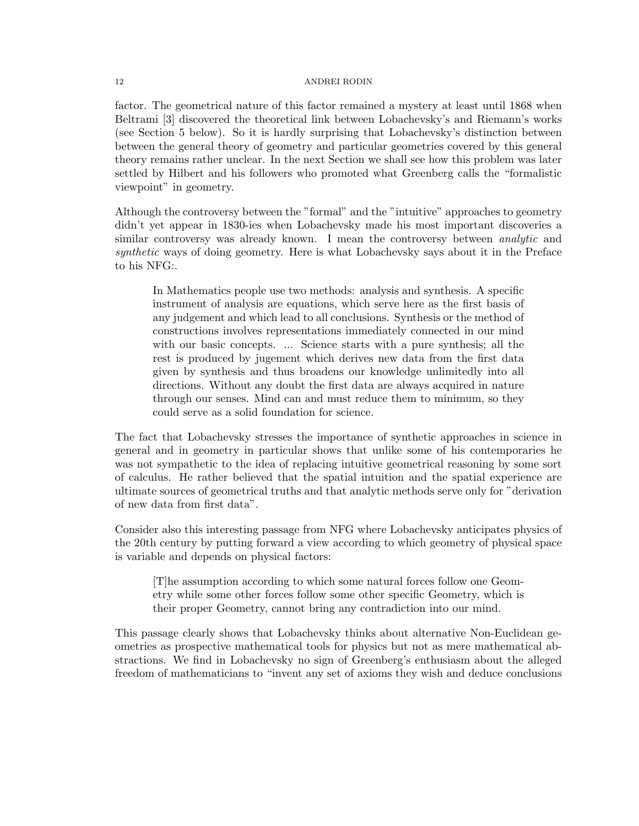factor. The geometrical nature of this factor remained a mystery at least until 1868 when Beltrami [3] discovered the theoretical link between Lobachevsky's and Riemann's works (see Section 5 below). So it is hardly surprising that Lobachevsky's distinction between between the general theory of geometry and particular geometries covered by this general theory remains rather unclear. In the next Section we shall see how this problem was later settled by Hilbert and his followers who promoted what Greenberg calls the "formalistic viewpoint" in geometry.

Although the controversy between the "formal" and the "intuitive" approaches to geometry didn't yet appear in 1830-ies when Lobachevsky made his most important discoveries a similar controversy was already known. I mean the controversy between *analytic* and synthetic ways of doing geometry. Here is what Lobachevsky says about it in the Preface to his NFG:.

In Mathematics people use two methods: analysis and synthesis. A specific instrument of analysis are equations, which serve here as the first basis of any judgement and which lead to all conclusions. Synthesis or the method of constructions involves representations immediately connected in our mind with our basic concepts. ... Science starts with a pure synthesis; all the rest is produced by jugement which derives new data from the first data given by synthesis and thus broadens our knowledge unlimitedly into all directions. Without any doubt the first data are always acquired in nature through our senses. Mind can and must reduce them to minimum, so they could serve as a solid foundation for science.

The fact that Lobachevsky stresses the importance of synthetic approaches in science in general and in geometry in particular shows that unlike some of his contemporaries he was not sympathetic to the idea of replacing intuitive geometrical reasoning by some sort of calculus. He rather believed that the spatial intuition and the spatial experience are ultimate sources of geometrical truths and that analytic methods serve only for "derivation of new data from first data".

Consider also this interesting passage from NFG where Lobachevsky anticipates physics of the 20th century by putting forward a view according to which geometry of physical space is variable and depends on physical factors:

[T]he assumption according to which some natural forces follow one Geometry while some other forces follow some other specific Geometry, which is their proper Geometry, cannot bring any contradiction into our mind.

This passage clearly shows that Lobachevsky thinks about alternative Non-Euclidean geometries as prospective mathematical tools for physics but not as mere mathematical abstractions. We find in Lobachevsky no sign of Greenberg's enthusiasm about the alleged freedom of mathematicians to "invent any set of axioms they wish and deduce conclusions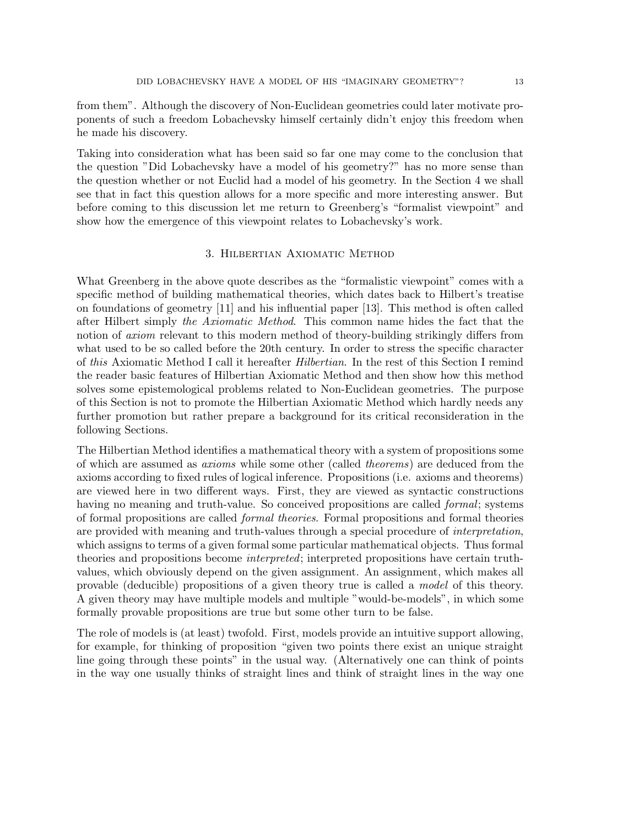from them". Although the discovery of Non-Euclidean geometries could later motivate proponents of such a freedom Lobachevsky himself certainly didn't enjoy this freedom when he made his discovery.

Taking into consideration what has been said so far one may come to the conclusion that the question "Did Lobachevsky have a model of his geometry?" has no more sense than the question whether or not Euclid had a model of his geometry. In the Section 4 we shall see that in fact this question allows for a more specific and more interesting answer. But before coming to this discussion let me return to Greenberg's "formalist viewpoint" and show how the emergence of this viewpoint relates to Lobachevsky's work.

## 3. Hilbertian Axiomatic Method

What Greenberg in the above quote describes as the "formalistic viewpoint" comes with a specific method of building mathematical theories, which dates back to Hilbert's treatise on foundations of geometry [11] and his influential paper [13]. This method is often called after Hilbert simply the Axiomatic Method. This common name hides the fact that the notion of *axiom* relevant to this modern method of theory-building strikingly differs from what used to be so called before the 20th century. In order to stress the specific character of this Axiomatic Method I call it hereafter Hilbertian. In the rest of this Section I remind the reader basic features of Hilbertian Axiomatic Method and then show how this method solves some epistemological problems related to Non-Euclidean geometries. The purpose of this Section is not to promote the Hilbertian Axiomatic Method which hardly needs any further promotion but rather prepare a background for its critical reconsideration in the following Sections.

The Hilbertian Method identifies a mathematical theory with a system of propositions some of which are assumed as axioms while some other (called theorems) are deduced from the axioms according to fixed rules of logical inference. Propositions (i.e. axioms and theorems) are viewed here in two different ways. First, they are viewed as syntactic constructions having no meaning and truth-value. So conceived propositions are called *formal*; systems of formal propositions are called formal theories. Formal propositions and formal theories are provided with meaning and truth-values through a special procedure of *interpretation*, which assigns to terms of a given formal some particular mathematical objects. Thus formal theories and propositions become interpreted; interpreted propositions have certain truthvalues, which obviously depend on the given assignment. An assignment, which makes all provable (deducible) propositions of a given theory true is called a model of this theory. A given theory may have multiple models and multiple "would-be-models", in which some formally provable propositions are true but some other turn to be false.

The role of models is (at least) twofold. First, models provide an intuitive support allowing, for example, for thinking of proposition "given two points there exist an unique straight line going through these points" in the usual way. (Alternatively one can think of points in the way one usually thinks of straight lines and think of straight lines in the way one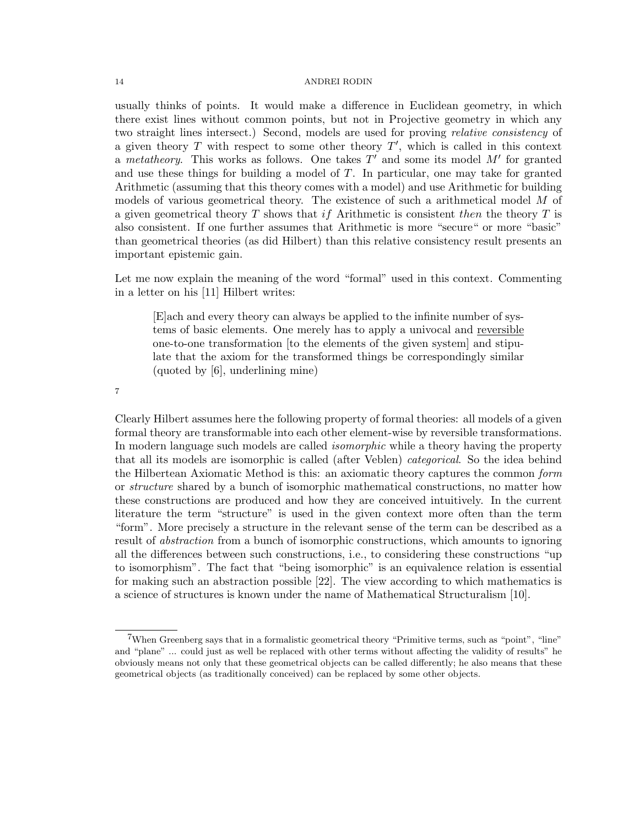usually thinks of points. It would make a difference in Euclidean geometry, in which there exist lines without common points, but not in Projective geometry in which any two straight lines intersect.) Second, models are used for proving relative consistency of a given theory  $T$  with respect to some other theory  $T'$ , which is called in this context a metatheory. This works as follows. One takes  $T'$  and some its model  $M'$  for granted and use these things for building a model of  $T$ . In particular, one may take for granted Arithmetic (assuming that this theory comes with a model) and use Arithmetic for building models of various geometrical theory. The existence of such a arithmetical model M of a given geometrical theory T shows that if Arithmetic is consistent then the theory T is also consistent. If one further assumes that Arithmetic is more "secure" or more "basic" than geometrical theories (as did Hilbert) than this relative consistency result presents an important epistemic gain.

Let me now explain the meaning of the word "formal" used in this context. Commenting in a letter on his [11] Hilbert writes:

[E]ach and every theory can always be applied to the infinite number of systems of basic elements. One merely has to apply a univocal and reversible one-to-one transformation [to the elements of the given system] and stipulate that the axiom for the transformed things be correspondingly similar (quoted by [6], underlining mine)

7

Clearly Hilbert assumes here the following property of formal theories: all models of a given formal theory are transformable into each other element-wise by reversible transformations. In modern language such models are called *isomorphic* while a theory having the property that all its models are isomorphic is called (after Veblen) categorical. So the idea behind the Hilbertean Axiomatic Method is this: an axiomatic theory captures the common form or structure shared by a bunch of isomorphic mathematical constructions, no matter how these constructions are produced and how they are conceived intuitively. In the current literature the term "structure" is used in the given context more often than the term "form". More precisely a structure in the relevant sense of the term can be described as a result of abstraction from a bunch of isomorphic constructions, which amounts to ignoring all the differences between such constructions, i.e., to considering these constructions "up to isomorphism". The fact that "being isomorphic" is an equivalence relation is essential for making such an abstraction possible [22]. The view according to which mathematics is a science of structures is known under the name of Mathematical Structuralism [10].

<sup>7</sup>When Greenberg says that in a formalistic geometrical theory "Primitive terms, such as "point", "line" and "plane" ... could just as well be replaced with other terms without affecting the validity of results" he obviously means not only that these geometrical objects can be called differently; he also means that these geometrical objects (as traditionally conceived) can be replaced by some other objects.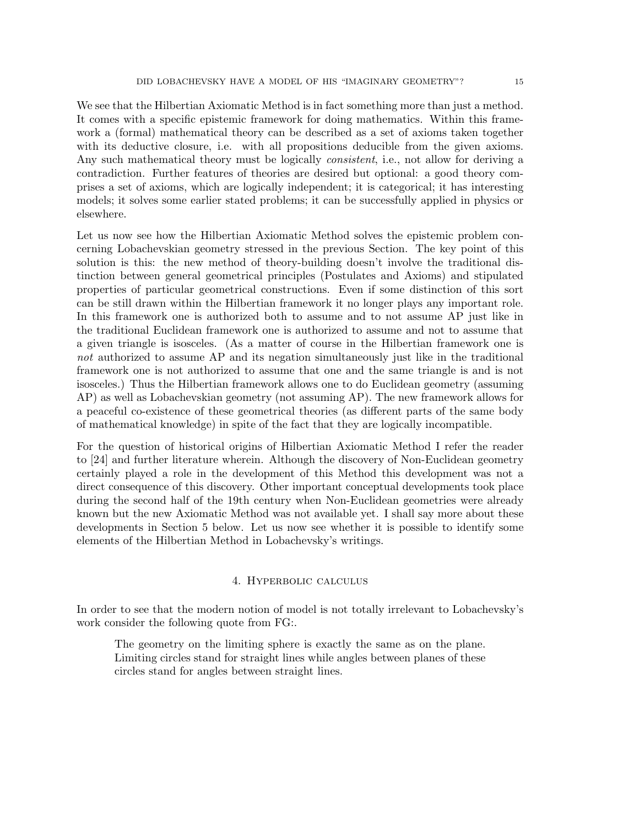We see that the Hilbertian Axiomatic Method is in fact something more than just a method. It comes with a specific epistemic framework for doing mathematics. Within this framework a (formal) mathematical theory can be described as a set of axioms taken together with its deductive closure, i.e. with all propositions deducible from the given axioms. Any such mathematical theory must be logically *consistent*, i.e., not allow for deriving a contradiction. Further features of theories are desired but optional: a good theory comprises a set of axioms, which are logically independent; it is categorical; it has interesting models; it solves some earlier stated problems; it can be successfully applied in physics or elsewhere.

Let us now see how the Hilbertian Axiomatic Method solves the epistemic problem concerning Lobachevskian geometry stressed in the previous Section. The key point of this solution is this: the new method of theory-building doesn't involve the traditional distinction between general geometrical principles (Postulates and Axioms) and stipulated properties of particular geometrical constructions. Even if some distinction of this sort can be still drawn within the Hilbertian framework it no longer plays any important role. In this framework one is authorized both to assume and to not assume AP just like in the traditional Euclidean framework one is authorized to assume and not to assume that a given triangle is isosceles. (As a matter of course in the Hilbertian framework one is not authorized to assume AP and its negation simultaneously just like in the traditional framework one is not authorized to assume that one and the same triangle is and is not isosceles.) Thus the Hilbertian framework allows one to do Euclidean geometry (assuming AP) as well as Lobachevskian geometry (not assuming AP). The new framework allows for a peaceful co-existence of these geometrical theories (as different parts of the same body of mathematical knowledge) in spite of the fact that they are logically incompatible.

For the question of historical origins of Hilbertian Axiomatic Method I refer the reader to [24] and further literature wherein. Although the discovery of Non-Euclidean geometry certainly played a role in the development of this Method this development was not a direct consequence of this discovery. Other important conceptual developments took place during the second half of the 19th century when Non-Euclidean geometries were already known but the new Axiomatic Method was not available yet. I shall say more about these developments in Section 5 below. Let us now see whether it is possible to identify some elements of the Hilbertian Method in Lobachevsky's writings.

### 4. Hyperbolic calculus

In order to see that the modern notion of model is not totally irrelevant to Lobachevsky's work consider the following quote from FG:.

The geometry on the limiting sphere is exactly the same as on the plane. Limiting circles stand for straight lines while angles between planes of these circles stand for angles between straight lines.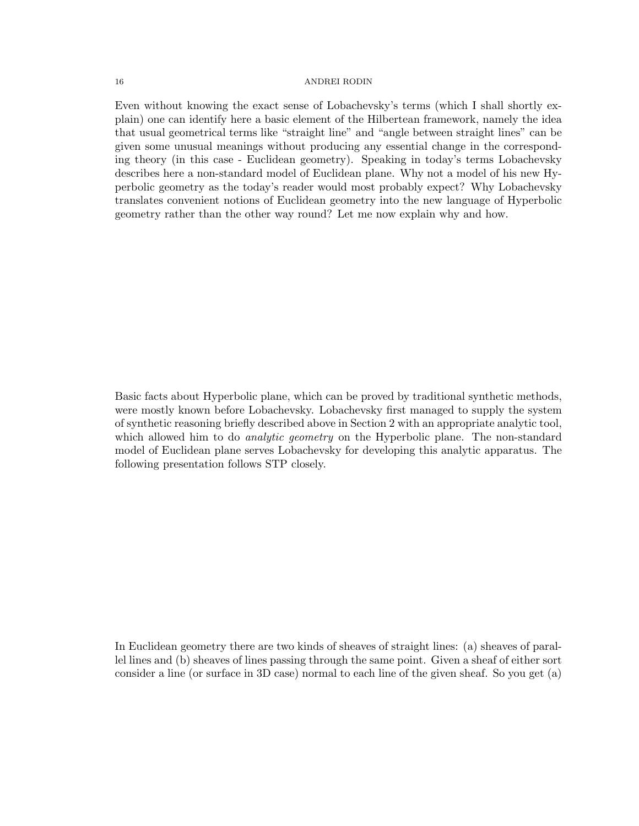Even without knowing the exact sense of Lobachevsky's terms (which I shall shortly explain) one can identify here a basic element of the Hilbertean framework, namely the idea that usual geometrical terms like "straight line" and "angle between straight lines" can be given some unusual meanings without producing any essential change in the corresponding theory (in this case - Euclidean geometry). Speaking in today's terms Lobachevsky describes here a non-standard model of Euclidean plane. Why not a model of his new Hyperbolic geometry as the today's reader would most probably expect? Why Lobachevsky translates convenient notions of Euclidean geometry into the new language of Hyperbolic geometry rather than the other way round? Let me now explain why and how.

Basic facts about Hyperbolic plane, which can be proved by traditional synthetic methods, were mostly known before Lobachevsky. Lobachevsky first managed to supply the system of synthetic reasoning briefly described above in Section 2 with an appropriate analytic tool, which allowed him to do *analytic geometry* on the Hyperbolic plane. The non-standard model of Euclidean plane serves Lobachevsky for developing this analytic apparatus. The following presentation follows STP closely.

In Euclidean geometry there are two kinds of sheaves of straight lines: (a) sheaves of parallel lines and (b) sheaves of lines passing through the same point. Given a sheaf of either sort consider a line (or surface in 3D case) normal to each line of the given sheaf. So you get (a)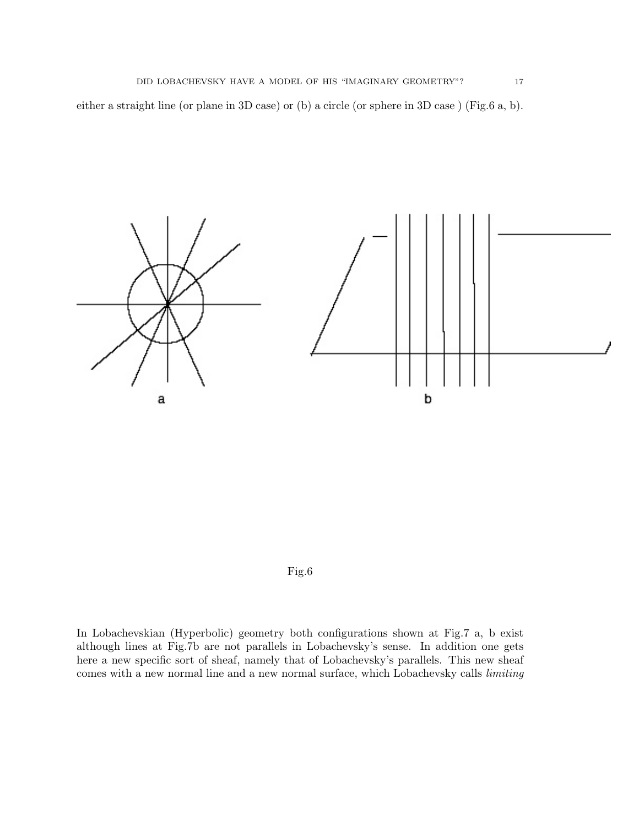either a straight line (or plane in 3D case) or (b) a circle (or sphere in 3D case ) (Fig.6 a, b).





In Lobachevskian (Hyperbolic) geometry both configurations shown at Fig.7 a, b exist although lines at Fig.7b are not parallels in Lobachevsky's sense. In addition one gets here a new specific sort of sheaf, namely that of Lobachevsky's parallels. This new sheaf comes with a new normal line and a new normal surface, which Lobachevsky calls *limiting*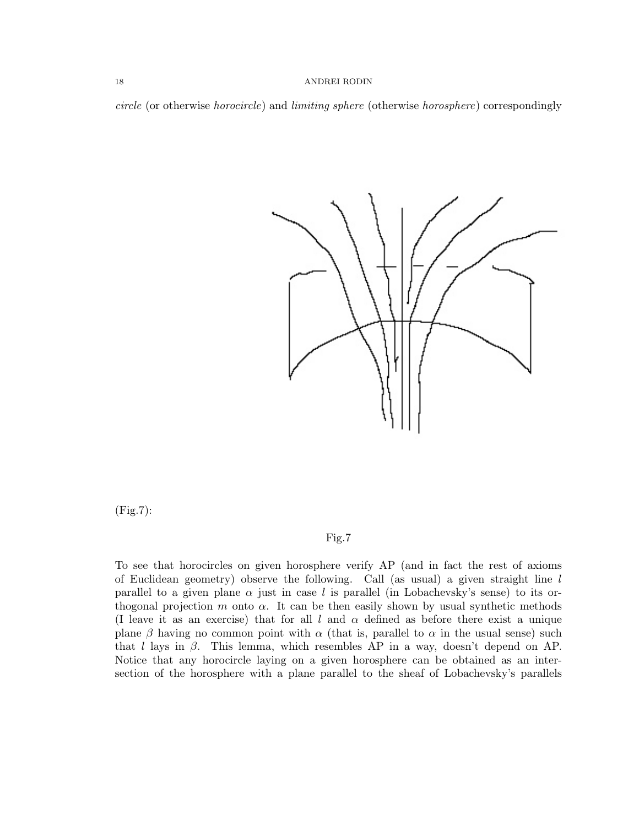circle (or otherwise horocircle) and limiting sphere (otherwise horosphere) correspondingly



(Fig.7):

## Fig.7

To see that horocircles on given horosphere verify AP (and in fact the rest of axioms of Euclidean geometry) observe the following. Call (as usual) a given straight line l parallel to a given plane  $\alpha$  just in case l is parallel (in Lobachevsky's sense) to its orthogonal projection m onto  $\alpha$ . It can be then easily shown by usual synthetic methods (I leave it as an exercise) that for all l and  $\alpha$  defined as before there exist a unique plane β having no common point with  $\alpha$  (that is, parallel to  $\alpha$  in the usual sense) such that l lays in  $\beta$ . This lemma, which resembles AP in a way, doesn't depend on AP. Notice that any horocircle laying on a given horosphere can be obtained as an intersection of the horosphere with a plane parallel to the sheaf of Lobachevsky's parallels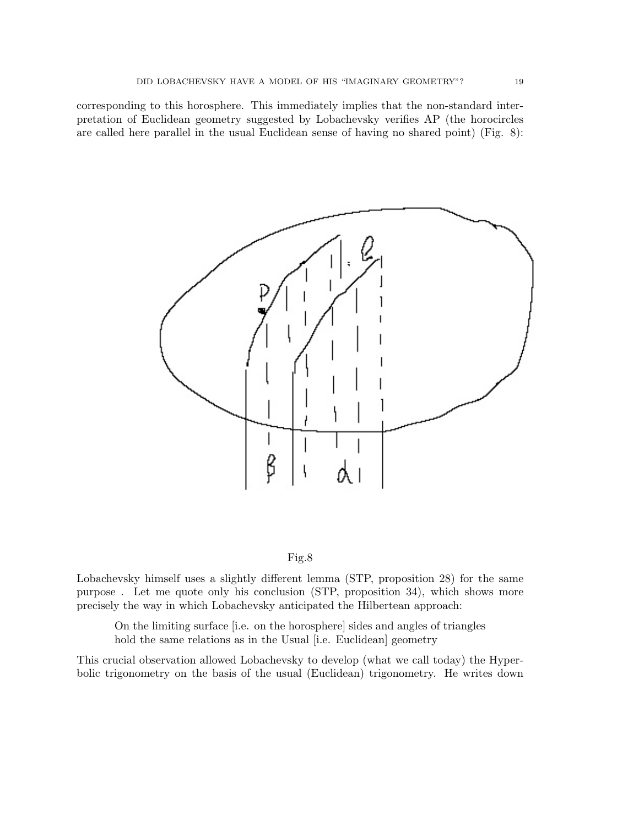corresponding to this horosphere. This immediately implies that the non-standard interpretation of Euclidean geometry suggested by Lobachevsky verifies AP (the horocircles are called here parallel in the usual Euclidean sense of having no shared point) (Fig. 8):





Lobachevsky himself uses a slightly different lemma (STP, proposition 28) for the same purpose . Let me quote only his conclusion (STP, proposition 34), which shows more precisely the way in which Lobachevsky anticipated the Hilbertean approach:

On the limiting surface [i.e. on the horosphere] sides and angles of triangles hold the same relations as in the Usual [i.e. Euclidean] geometry

This crucial observation allowed Lobachevsky to develop (what we call today) the Hyperbolic trigonometry on the basis of the usual (Euclidean) trigonometry. He writes down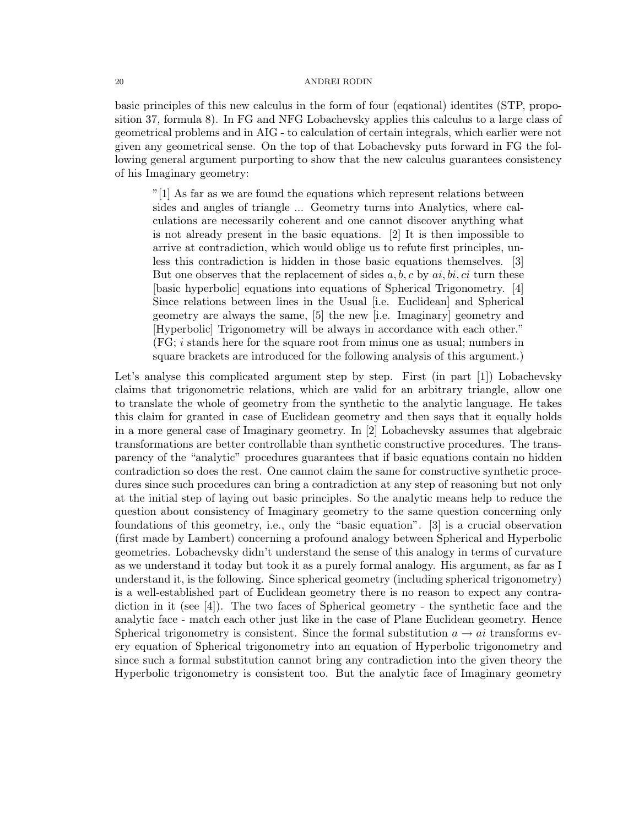basic principles of this new calculus in the form of four (eqational) identites (STP, proposition 37, formula 8). In FG and NFG Lobachevsky applies this calculus to a large class of geometrical problems and in AIG - to calculation of certain integrals, which earlier were not given any geometrical sense. On the top of that Lobachevsky puts forward in FG the following general argument purporting to show that the new calculus guarantees consistency of his Imaginary geometry:

"[1] As far as we are found the equations which represent relations between sides and angles of triangle ... Geometry turns into Analytics, where calculations are necessarily coherent and one cannot discover anything what is not already present in the basic equations. [2] It is then impossible to arrive at contradiction, which would oblige us to refute first principles, unless this contradiction is hidden in those basic equations themselves. [3] But one observes that the replacement of sides  $a, b, c$  by  $ai, bi, ci$  turn these [basic hyperbolic] equations into equations of Spherical Trigonometry. [4] Since relations between lines in the Usual [i.e. Euclidean] and Spherical geometry are always the same, [5] the new [i.e. Imaginary] geometry and [Hyperbolic] Trigonometry will be always in accordance with each other." (FG; i stands here for the square root from minus one as usual; numbers in square brackets are introduced for the following analysis of this argument.)

Let's analyse this complicated argument step by step. First (in part [1]) Lobachevsky claims that trigonometric relations, which are valid for an arbitrary triangle, allow one to translate the whole of geometry from the synthetic to the analytic language. He takes this claim for granted in case of Euclidean geometry and then says that it equally holds in a more general case of Imaginary geometry. In [2] Lobachevsky assumes that algebraic transformations are better controllable than synthetic constructive procedures. The transparency of the "analytic" procedures guarantees that if basic equations contain no hidden contradiction so does the rest. One cannot claim the same for constructive synthetic procedures since such procedures can bring a contradiction at any step of reasoning but not only at the initial step of laying out basic principles. So the analytic means help to reduce the question about consistency of Imaginary geometry to the same question concerning only foundations of this geometry, i.e., only the "basic equation". [3] is a crucial observation (first made by Lambert) concerning a profound analogy between Spherical and Hyperbolic geometries. Lobachevsky didn't understand the sense of this analogy in terms of curvature as we understand it today but took it as a purely formal analogy. His argument, as far as I understand it, is the following. Since spherical geometry (including spherical trigonometry) is a well-established part of Euclidean geometry there is no reason to expect any contradiction in it (see [4]). The two faces of Spherical geometry - the synthetic face and the analytic face - match each other just like in the case of Plane Euclidean geometry. Hence Spherical trigonometry is consistent. Since the formal substitution  $a \rightarrow ai$  transforms every equation of Spherical trigonometry into an equation of Hyperbolic trigonometry and since such a formal substitution cannot bring any contradiction into the given theory the Hyperbolic trigonometry is consistent too. But the analytic face of Imaginary geometry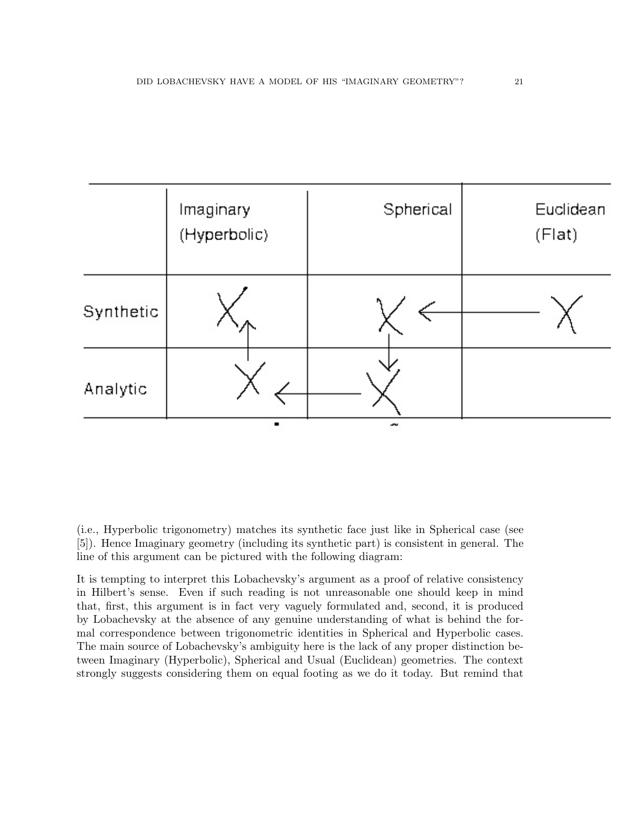|           | Imaginary<br>(Hyperbolic) | Spherical | Euclidean<br>(Flat) |
|-----------|---------------------------|-----------|---------------------|
| Synthetic |                           |           |                     |
| Analytic  |                           |           |                     |

(i.e., Hyperbolic trigonometry) matches its synthetic face just like in Spherical case (see [5]). Hence Imaginary geometry (including its synthetic part) is consistent in general. The line of this argument can be pictured with the following diagram:

It is tempting to interpret this Lobachevsky's argument as a proof of relative consistency in Hilbert's sense. Even if such reading is not unreasonable one should keep in mind that, first, this argument is in fact very vaguely formulated and, second, it is produced by Lobachevsky at the absence of any genuine understanding of what is behind the formal correspondence between trigonometric identities in Spherical and Hyperbolic cases. The main source of Lobachevsky's ambiguity here is the lack of any proper distinction between Imaginary (Hyperbolic), Spherical and Usual (Euclidean) geometries. The context strongly suggests considering them on equal footing as we do it today. But remind that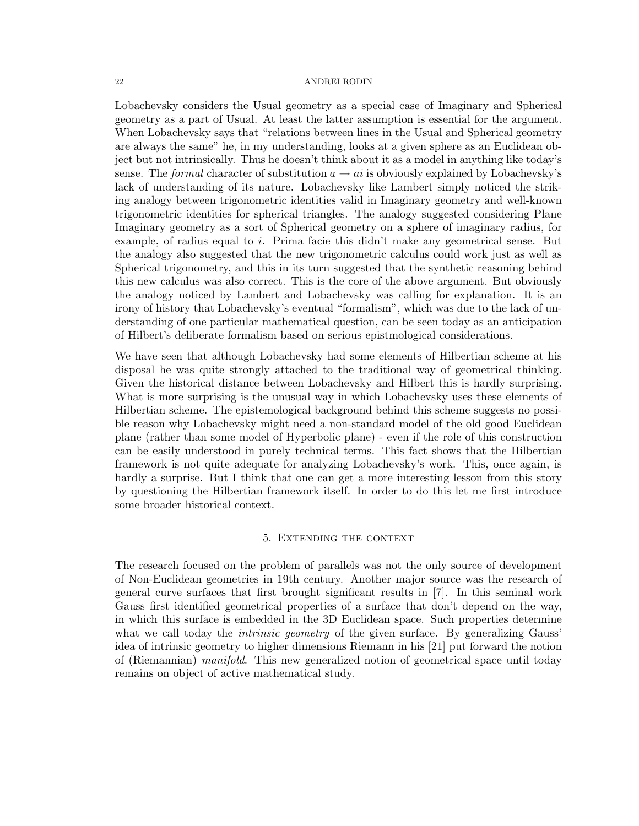Lobachevsky considers the Usual geometry as a special case of Imaginary and Spherical geometry as a part of Usual. At least the latter assumption is essential for the argument. When Lobachevsky says that "relations between lines in the Usual and Spherical geometry are always the same" he, in my understanding, looks at a given sphere as an Euclidean object but not intrinsically. Thus he doesn't think about it as a model in anything like today's sense. The formal character of substitution  $a \rightarrow ai$  is obviously explained by Lobachevsky's lack of understanding of its nature. Lobachevsky like Lambert simply noticed the striking analogy between trigonometric identities valid in Imaginary geometry and well-known trigonometric identities for spherical triangles. The analogy suggested considering Plane Imaginary geometry as a sort of Spherical geometry on a sphere of imaginary radius, for example, of radius equal to  $i$ . Prima facie this didn't make any geometrical sense. But the analogy also suggested that the new trigonometric calculus could work just as well as Spherical trigonometry, and this in its turn suggested that the synthetic reasoning behind this new calculus was also correct. This is the core of the above argument. But obviously the analogy noticed by Lambert and Lobachevsky was calling for explanation. It is an irony of history that Lobachevsky's eventual "formalism", which was due to the lack of understanding of one particular mathematical question, can be seen today as an anticipation of Hilbert's deliberate formalism based on serious epistmological considerations.

We have seen that although Lobachevsky had some elements of Hilbertian scheme at his disposal he was quite strongly attached to the traditional way of geometrical thinking. Given the historical distance between Lobachevsky and Hilbert this is hardly surprising. What is more surprising is the unusual way in which Lobachevsky uses these elements of Hilbertian scheme. The epistemological background behind this scheme suggests no possible reason why Lobachevsky might need a non-standard model of the old good Euclidean plane (rather than some model of Hyperbolic plane) - even if the role of this construction can be easily understood in purely technical terms. This fact shows that the Hilbertian framework is not quite adequate for analyzing Lobachevsky's work. This, once again, is hardly a surprise. But I think that one can get a more interesting lesson from this story by questioning the Hilbertian framework itself. In order to do this let me first introduce some broader historical context.

## 5. Extending the context

The research focused on the problem of parallels was not the only source of development of Non-Euclidean geometries in 19th century. Another major source was the research of general curve surfaces that first brought significant results in [7]. In this seminal work Gauss first identified geometrical properties of a surface that don't depend on the way, in which this surface is embedded in the 3D Euclidean space. Such properties determine what we call today the *intrinsic geometry* of the given surface. By generalizing Gauss' idea of intrinsic geometry to higher dimensions Riemann in his [21] put forward the notion of (Riemannian) manifold. This new generalized notion of geometrical space until today remains on object of active mathematical study.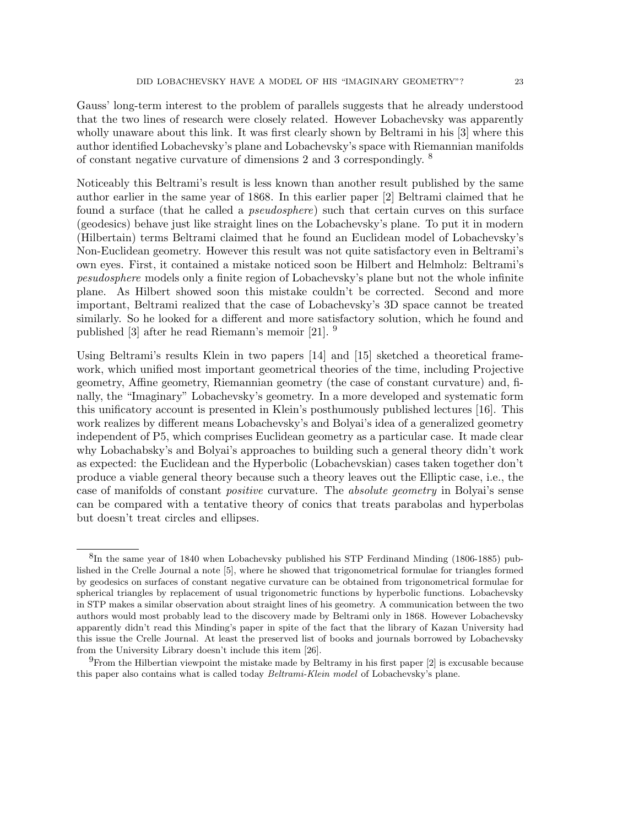Gauss' long-term interest to the problem of parallels suggests that he already understood that the two lines of research were closely related. However Lobachevsky was apparently wholly unaware about this link. It was first clearly shown by Beltrami in his [3] where this author identified Lobachevsky's plane and Lobachevsky's space with Riemannian manifolds of constant negative curvature of dimensions 2 and 3 correspondingly.  $8$ 

Noticeably this Beltrami's result is less known than another result published by the same author earlier in the same year of 1868. In this earlier paper [2] Beltrami claimed that he found a surface (that he called a *pseudosphere*) such that certain curves on this surface (geodesics) behave just like straight lines on the Lobachevsky's plane. To put it in modern (Hilbertain) terms Beltrami claimed that he found an Euclidean model of Lobachevsky's Non-Euclidean geometry. However this result was not quite satisfactory even in Beltrami's own eyes. First, it contained a mistake noticed soon be Hilbert and Helmholz: Beltrami's pesudosphere models only a finite region of Lobachevsky's plane but not the whole infinite plane. As Hilbert showed soon this mistake couldn't be corrected. Second and more important, Beltrami realized that the case of Lobachevsky's 3D space cannot be treated similarly. So he looked for a different and more satisfactory solution, which he found and published [3] after he read Riemann's memoir [21]. <sup>9</sup>

Using Beltrami's results Klein in two papers [14] and [15] sketched a theoretical framework, which unified most important geometrical theories of the time, including Projective geometry, Affine geometry, Riemannian geometry (the case of constant curvature) and, finally, the "Imaginary" Lobachevsky's geometry. In a more developed and systematic form this unificatory account is presented in Klein's posthumously published lectures [16]. This work realizes by different means Lobachevsky's and Bolyai's idea of a generalized geometry independent of P5, which comprises Euclidean geometry as a particular case. It made clear why Lobachabsky's and Bolyai's approaches to building such a general theory didn't work as expected: the Euclidean and the Hyperbolic (Lobachevskian) cases taken together don't produce a viable general theory because such a theory leaves out the Elliptic case, i.e., the case of manifolds of constant positive curvature. The absolute geometry in Bolyai's sense can be compared with a tentative theory of conics that treats parabolas and hyperbolas but doesn't treat circles and ellipses.

<sup>&</sup>lt;sup>8</sup>In the same year of 1840 when Lobachevsky published his STP Ferdinand Minding (1806-1885) published in the Crelle Journal a note [5], where he showed that trigonometrical formulae for triangles formed by geodesics on surfaces of constant negative curvature can be obtained from trigonometrical formulae for spherical triangles by replacement of usual trigonometric functions by hyperbolic functions. Lobachevsky in STP makes a similar observation about straight lines of his geometry. A communication between the two authors would most probably lead to the discovery made by Beltrami only in 1868. However Lobachevsky apparently didn't read this Minding's paper in spite of the fact that the library of Kazan University had this issue the Crelle Journal. At least the preserved list of books and journals borrowed by Lobachevsky from the University Library doesn't include this item [26].

<sup>9</sup>From the Hilbertian viewpoint the mistake made by Beltramy in his first paper [2] is excusable because this paper also contains what is called today *Beltrami-Klein model* of Lobachevsky's plane.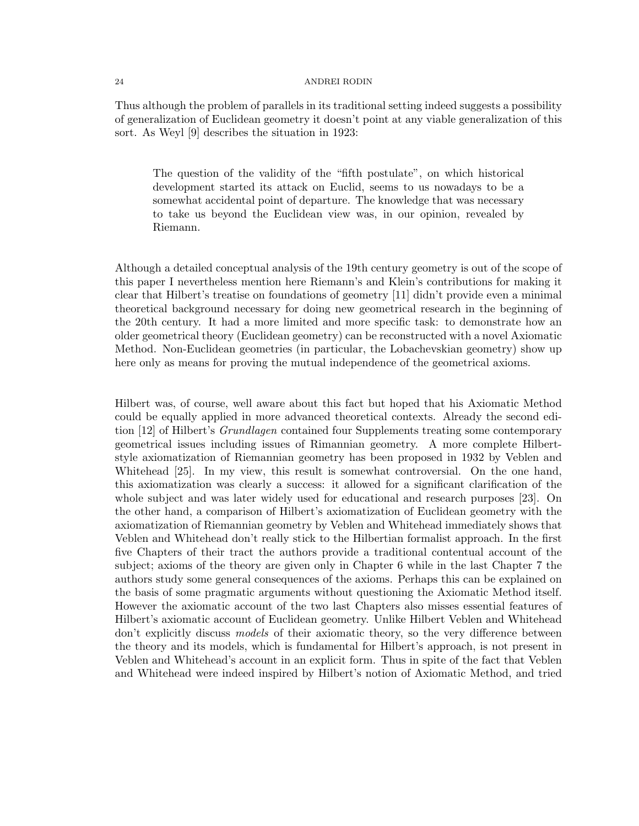Thus although the problem of parallels in its traditional setting indeed suggests a possibility of generalization of Euclidean geometry it doesn't point at any viable generalization of this sort. As Weyl [9] describes the situation in 1923:

The question of the validity of the "fifth postulate", on which historical development started its attack on Euclid, seems to us nowadays to be a somewhat accidental point of departure. The knowledge that was necessary to take us beyond the Euclidean view was, in our opinion, revealed by Riemann.

Although a detailed conceptual analysis of the 19th century geometry is out of the scope of this paper I nevertheless mention here Riemann's and Klein's contributions for making it clear that Hilbert's treatise on foundations of geometry [11] didn't provide even a minimal theoretical background necessary for doing new geometrical research in the beginning of the 20th century. It had a more limited and more specific task: to demonstrate how an older geometrical theory (Euclidean geometry) can be reconstructed with a novel Axiomatic Method. Non-Euclidean geometries (in particular, the Lobachevskian geometry) show up here only as means for proving the mutual independence of the geometrical axioms.

Hilbert was, of course, well aware about this fact but hoped that his Axiomatic Method could be equally applied in more advanced theoretical contexts. Already the second edition [12] of Hilbert's *Grundlagen* contained four Supplements treating some contemporary geometrical issues including issues of Rimannian geometry. A more complete Hilbertstyle axiomatization of Riemannian geometry has been proposed in 1932 by Veblen and Whitehead [25]. In my view, this result is somewhat controversial. On the one hand, this axiomatization was clearly a success: it allowed for a significant clarification of the whole subject and was later widely used for educational and research purposes [23]. On the other hand, a comparison of Hilbert's axiomatization of Euclidean geometry with the axiomatization of Riemannian geometry by Veblen and Whitehead immediately shows that Veblen and Whitehead don't really stick to the Hilbertian formalist approach. In the first five Chapters of their tract the authors provide a traditional contentual account of the subject; axioms of the theory are given only in Chapter 6 while in the last Chapter 7 the authors study some general consequences of the axioms. Perhaps this can be explained on the basis of some pragmatic arguments without questioning the Axiomatic Method itself. However the axiomatic account of the two last Chapters also misses essential features of Hilbert's axiomatic account of Euclidean geometry. Unlike Hilbert Veblen and Whitehead don't explicitly discuss *models* of their axiomatic theory, so the very difference between the theory and its models, which is fundamental for Hilbert's approach, is not present in Veblen and Whitehead's account in an explicit form. Thus in spite of the fact that Veblen and Whitehead were indeed inspired by Hilbert's notion of Axiomatic Method, and tried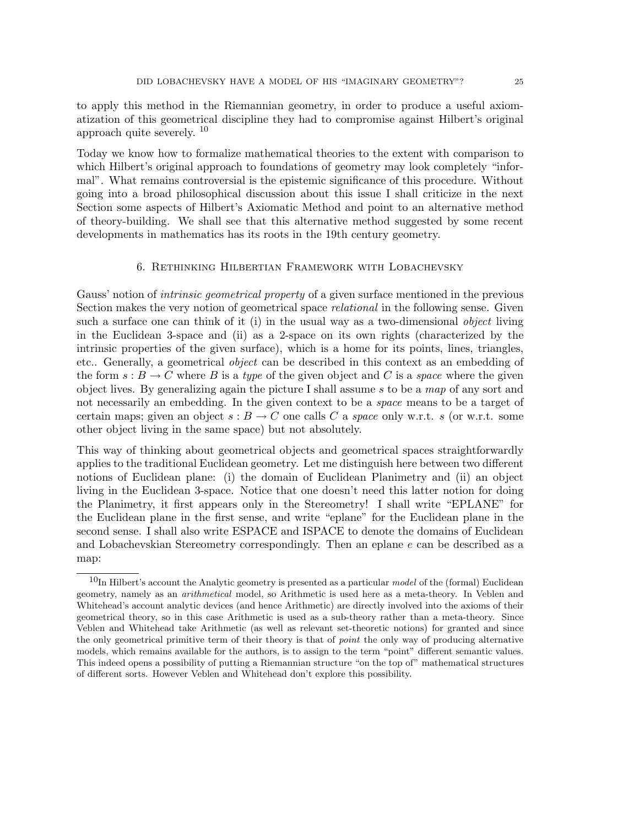to apply this method in the Riemannian geometry, in order to produce a useful axiomatization of this geometrical discipline they had to compromise against Hilbert's original approach quite severely.  $10$ 

Today we know how to formalize mathematical theories to the extent with comparison to which Hilbert's original approach to foundations of geometry may look completely "informal". What remains controversial is the epistemic significance of this procedure. Without going into a broad philosophical discussion about this issue I shall criticize in the next Section some aspects of Hilbert's Axiomatic Method and point to an alternative method of theory-building. We shall see that this alternative method suggested by some recent developments in mathematics has its roots in the 19th century geometry.

### 6. Rethinking Hilbertian Framework with Lobachevsky

Gauss' notion of *intrinsic geometrical property* of a given surface mentioned in the previous Section makes the very notion of geometrical space *relational* in the following sense. Given such a surface one can think of it (i) in the usual way as a two-dimensional *object* living in the Euclidean 3-space and (ii) as a 2-space on its own rights (characterized by the intrinsic properties of the given surface), which is a home for its points, lines, triangles, etc.. Generally, a geometrical object can be described in this context as an embedding of the form  $s : B \to C$  where B is a type of the given object and C is a space where the given object lives. By generalizing again the picture I shall assume  $s$  to be a map of any sort and not necessarily an embedding. In the given context to be a space means to be a target of certain maps; given an object  $s : B \to C$  one calls C a space only w.r.t. s (or w.r.t. some other object living in the same space) but not absolutely.

This way of thinking about geometrical objects and geometrical spaces straightforwardly applies to the traditional Euclidean geometry. Let me distinguish here between two different notions of Euclidean plane: (i) the domain of Euclidean Planimetry and (ii) an object living in the Euclidean 3-space. Notice that one doesn't need this latter notion for doing the Planimetry, it first appears only in the Stereometry! I shall write "EPLANE" for the Euclidean plane in the first sense, and write "eplane" for the Euclidean plane in the second sense. I shall also write ESPACE and ISPACE to denote the domains of Euclidean and Lobachevskian Stereometry correspondingly. Then an eplane e can be described as a map:

 $10$ In Hilbert's account the Analytic geometry is presented as a particular model of the (formal) Euclidean geometry, namely as an arithmetical model, so Arithmetic is used here as a meta-theory. In Veblen and Whitehead's account analytic devices (and hence Arithmetic) are directly involved into the axioms of their geometrical theory, so in this case Arithmetic is used as a sub-theory rather than a meta-theory. Since Veblen and Whitehead take Arithmetic (as well as relevant set-theoretic notions) for granted and since the only geometrical primitive term of their theory is that of point the only way of producing alternative models, which remains available for the authors, is to assign to the term "point" different semantic values. This indeed opens a possibility of putting a Riemannian structure "on the top of" mathematical structures of different sorts. However Veblen and Whitehead don't explore this possibility.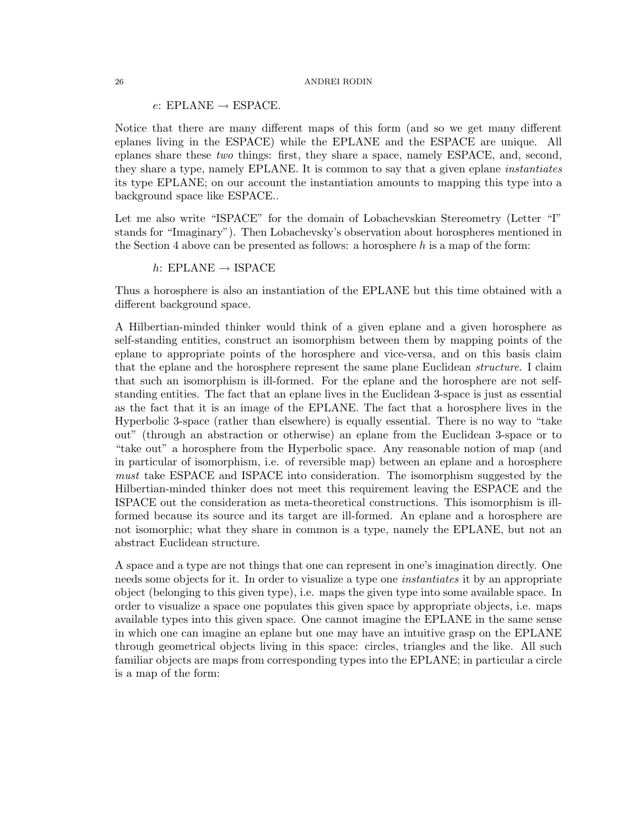$e: EPLANE \rightarrow ESPACE.$ 

Notice that there are many different maps of this form (and so we get many different eplanes living in the ESPACE) while the EPLANE and the ESPACE are unique. All eplanes share these two things: first, they share a space, namely ESPACE, and, second, they share a type, namely EPLANE. It is common to say that a given eplane instantiates its type EPLANE; on our account the instantiation amounts to mapping this type into a background space like ESPACE..

Let me also write "ISPACE" for the domain of Lobachevskian Stereometry (Letter "I" stands for "Imaginary"). Then Lobachevsky's observation about horospheres mentioned in the Section 4 above can be presented as follows: a horosphere  $h$  is a map of the form:

$$
h
$$
: EPLANE  $\rightarrow$  ISPACE

Thus a horosphere is also an instantiation of the EPLANE but this time obtained with a different background space.

A Hilbertian-minded thinker would think of a given eplane and a given horosphere as self-standing entities, construct an isomorphism between them by mapping points of the eplane to appropriate points of the horosphere and vice-versa, and on this basis claim that the eplane and the horosphere represent the same plane Euclidean *structure*. I claim that such an isomorphism is ill-formed. For the eplane and the horosphere are not selfstanding entities. The fact that an eplane lives in the Euclidean 3-space is just as essential as the fact that it is an image of the EPLANE. The fact that a horosphere lives in the Hyperbolic 3-space (rather than elsewhere) is equally essential. There is no way to "take out" (through an abstraction or otherwise) an eplane from the Euclidean 3-space or to "take out" a horosphere from the Hyperbolic space. Any reasonable notion of map (and in particular of isomorphism, i.e. of reversible map) between an eplane and a horosphere must take ESPACE and ISPACE into consideration. The isomorphism suggested by the Hilbertian-minded thinker does not meet this requirement leaving the ESPACE and the ISPACE out the consideration as meta-theoretical constructions. This isomorphism is illformed because its source and its target are ill-formed. An eplane and a horosphere are not isomorphic; what they share in common is a type, namely the EPLANE, but not an abstract Euclidean structure.

A space and a type are not things that one can represent in one's imagination directly. One needs some objects for it. In order to visualize a type one *instantiates* it by an appropriate object (belonging to this given type), i.e. maps the given type into some available space. In order to visualize a space one populates this given space by appropriate objects, i.e. maps available types into this given space. One cannot imagine the EPLANE in the same sense in which one can imagine an eplane but one may have an intuitive grasp on the EPLANE through geometrical objects living in this space: circles, triangles and the like. All such familiar objects are maps from corresponding types into the EPLANE; in particular a circle is a map of the form: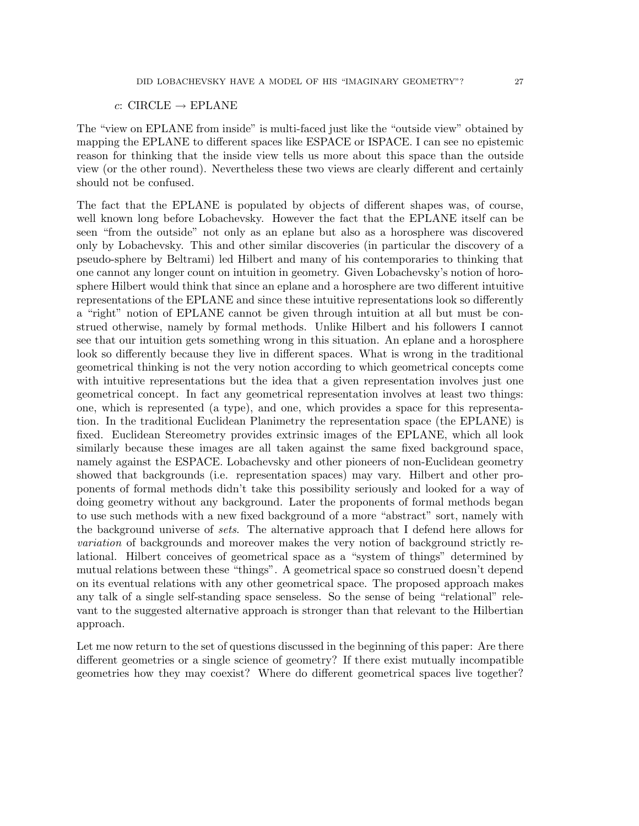## c: CIRCLE  $\rightarrow$  EPLANE

The "view on EPLANE from inside" is multi-faced just like the "outside view" obtained by mapping the EPLANE to different spaces like ESPACE or ISPACE. I can see no epistemic reason for thinking that the inside view tells us more about this space than the outside view (or the other round). Nevertheless these two views are clearly different and certainly should not be confused.

The fact that the EPLANE is populated by objects of different shapes was, of course, well known long before Lobachevsky. However the fact that the EPLANE itself can be seen "from the outside" not only as an eplane but also as a horosphere was discovered only by Lobachevsky. This and other similar discoveries (in particular the discovery of a pseudo-sphere by Beltrami) led Hilbert and many of his contemporaries to thinking that one cannot any longer count on intuition in geometry. Given Lobachevsky's notion of horosphere Hilbert would think that since an eplane and a horosphere are two different intuitive representations of the EPLANE and since these intuitive representations look so differently a "right" notion of EPLANE cannot be given through intuition at all but must be construed otherwise, namely by formal methods. Unlike Hilbert and his followers I cannot see that our intuition gets something wrong in this situation. An eplane and a horosphere look so differently because they live in different spaces. What is wrong in the traditional geometrical thinking is not the very notion according to which geometrical concepts come with intuitive representations but the idea that a given representation involves just one geometrical concept. In fact any geometrical representation involves at least two things: one, which is represented (a type), and one, which provides a space for this representation. In the traditional Euclidean Planimetry the representation space (the EPLANE) is fixed. Euclidean Stereometry provides extrinsic images of the EPLANE, which all look similarly because these images are all taken against the same fixed background space, namely against the ESPACE. Lobachevsky and other pioneers of non-Euclidean geometry showed that backgrounds (i.e. representation spaces) may vary. Hilbert and other proponents of formal methods didn't take this possibility seriously and looked for a way of doing geometry without any background. Later the proponents of formal methods began to use such methods with a new fixed background of a more "abstract" sort, namely with the background universe of sets. The alternative approach that I defend here allows for variation of backgrounds and moreover makes the very notion of background strictly relational. Hilbert conceives of geometrical space as a "system of things" determined by mutual relations between these "things". A geometrical space so construed doesn't depend on its eventual relations with any other geometrical space. The proposed approach makes any talk of a single self-standing space senseless. So the sense of being "relational" relevant to the suggested alternative approach is stronger than that relevant to the Hilbertian approach.

Let me now return to the set of questions discussed in the beginning of this paper: Are there different geometries or a single science of geometry? If there exist mutually incompatible geometries how they may coexist? Where do different geometrical spaces live together?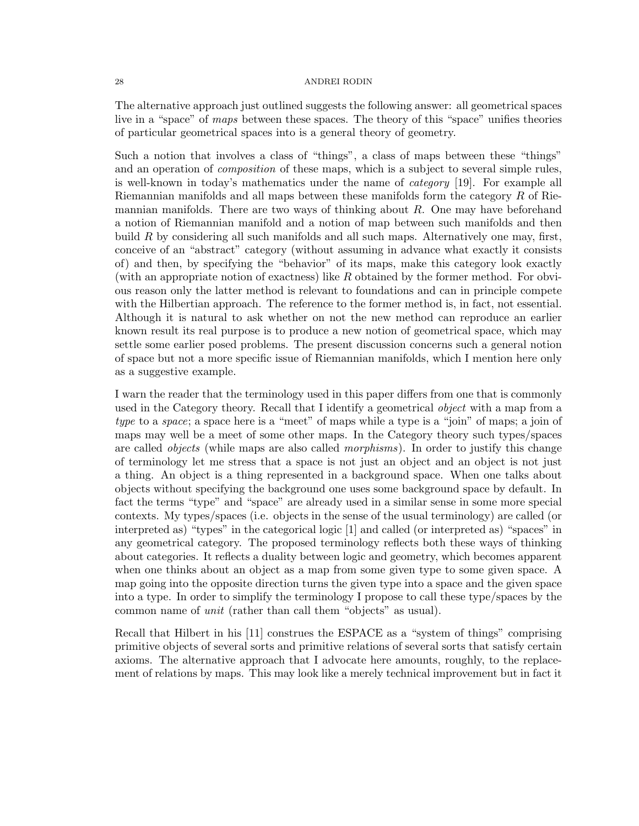The alternative approach just outlined suggests the following answer: all geometrical spaces live in a "space" of maps between these spaces. The theory of this "space" unifies theories of particular geometrical spaces into is a general theory of geometry.

Such a notion that involves a class of "things", a class of maps between these "things" and an operation of composition of these maps, which is a subject to several simple rules, is well-known in today's mathematics under the name of category [19]. For example all Riemannian manifolds and all maps between these manifolds form the category R of Riemannian manifolds. There are two ways of thinking about  $R$ . One may have beforehand a notion of Riemannian manifold and a notion of map between such manifolds and then build  $R$  by considering all such manifolds and all such maps. Alternatively one may, first, conceive of an "abstract" category (without assuming in advance what exactly it consists of) and then, by specifying the "behavior" of its maps, make this category look exactly (with an appropriate notion of exactness) like  $R$  obtained by the former method. For obvious reason only the latter method is relevant to foundations and can in principle compete with the Hilbertian approach. The reference to the former method is, in fact, not essential. Although it is natural to ask whether on not the new method can reproduce an earlier known result its real purpose is to produce a new notion of geometrical space, which may settle some earlier posed problems. The present discussion concerns such a general notion of space but not a more specific issue of Riemannian manifolds, which I mention here only as a suggestive example.

I warn the reader that the terminology used in this paper differs from one that is commonly used in the Category theory. Recall that I identify a geometrical *object* with a map from a type to a space; a space here is a "meet" of maps while a type is a "join" of maps; a join of maps may well be a meet of some other maps. In the Category theory such types/spaces are called objects (while maps are also called morphisms). In order to justify this change of terminology let me stress that a space is not just an object and an object is not just a thing. An object is a thing represented in a background space. When one talks about objects without specifying the background one uses some background space by default. In fact the terms "type" and "space" are already used in a similar sense in some more special contexts. My types/spaces (i.e. objects in the sense of the usual terminology) are called (or interpreted as) "types" in the categorical logic [1] and called (or interpreted as) "spaces" in any geometrical category. The proposed terminology reflects both these ways of thinking about categories. It reflects a duality between logic and geometry, which becomes apparent when one thinks about an object as a map from some given type to some given space. A map going into the opposite direction turns the given type into a space and the given space into a type. In order to simplify the terminology I propose to call these type/spaces by the common name of unit (rather than call them "objects" as usual).

Recall that Hilbert in his [11] construes the ESPACE as a "system of things" comprising primitive objects of several sorts and primitive relations of several sorts that satisfy certain axioms. The alternative approach that I advocate here amounts, roughly, to the replacement of relations by maps. This may look like a merely technical improvement but in fact it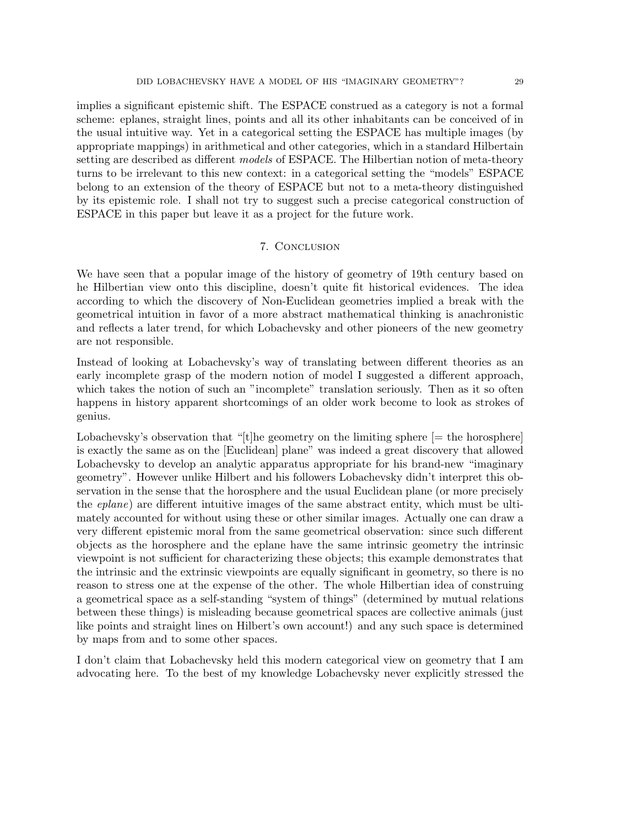implies a significant epistemic shift. The ESPACE construed as a category is not a formal scheme: eplanes, straight lines, points and all its other inhabitants can be conceived of in the usual intuitive way. Yet in a categorical setting the ESPACE has multiple images (by appropriate mappings) in arithmetical and other categories, which in a standard Hilbertain setting are described as different *models* of ESPACE. The Hilbertian notion of meta-theory turns to be irrelevant to this new context: in a categorical setting the "models" ESPACE belong to an extension of the theory of ESPACE but not to a meta-theory distinguished by its epistemic role. I shall not try to suggest such a precise categorical construction of ESPACE in this paper but leave it as a project for the future work.

## 7. Conclusion

We have seen that a popular image of the history of geometry of 19th century based on he Hilbertian view onto this discipline, doesn't quite fit historical evidences. The idea according to which the discovery of Non-Euclidean geometries implied a break with the geometrical intuition in favor of a more abstract mathematical thinking is anachronistic and reflects a later trend, for which Lobachevsky and other pioneers of the new geometry are not responsible.

Instead of looking at Lobachevsky's way of translating between different theories as an early incomplete grasp of the modern notion of model I suggested a different approach, which takes the notion of such an "incomplete" translation seriously. Then as it so often happens in history apparent shortcomings of an older work become to look as strokes of genius.

Lobachevsky's observation that "[t]he geometry on the limiting sphere  $[=$  the horosphere] is exactly the same as on the [Euclidean] plane" was indeed a great discovery that allowed Lobachevsky to develop an analytic apparatus appropriate for his brand-new "imaginary geometry". However unlike Hilbert and his followers Lobachevsky didn't interpret this observation in the sense that the horosphere and the usual Euclidean plane (or more precisely the *eplane*) are different intuitive images of the same abstract entity, which must be ultimately accounted for without using these or other similar images. Actually one can draw a very different epistemic moral from the same geometrical observation: since such different objects as the horosphere and the eplane have the same intrinsic geometry the intrinsic viewpoint is not sufficient for characterizing these objects; this example demonstrates that the intrinsic and the extrinsic viewpoints are equally significant in geometry, so there is no reason to stress one at the expense of the other. The whole Hilbertian idea of construing a geometrical space as a self-standing "system of things" (determined by mutual relations between these things) is misleading because geometrical spaces are collective animals (just like points and straight lines on Hilbert's own account!) and any such space is determined by maps from and to some other spaces.

I don't claim that Lobachevsky held this modern categorical view on geometry that I am advocating here. To the best of my knowledge Lobachevsky never explicitly stressed the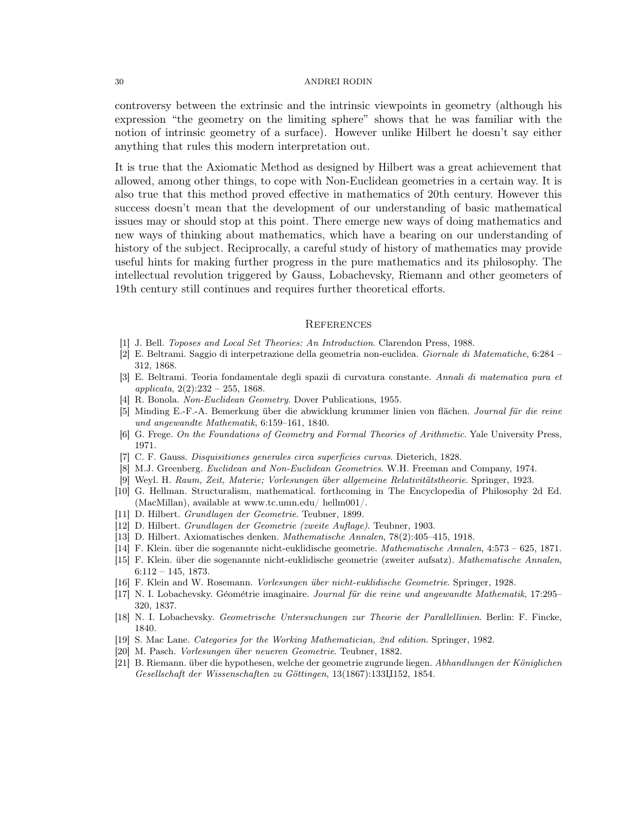controversy between the extrinsic and the intrinsic viewpoints in geometry (although his expression "the geometry on the limiting sphere" shows that he was familiar with the notion of intrinsic geometry of a surface). However unlike Hilbert he doesn't say either anything that rules this modern interpretation out.

It is true that the Axiomatic Method as designed by Hilbert was a great achievement that allowed, among other things, to cope with Non-Euclidean geometries in a certain way. It is also true that this method proved effective in mathematics of 20th century. However this success doesn't mean that the development of our understanding of basic mathematical issues may or should stop at this point. There emerge new ways of doing mathematics and new ways of thinking about mathematics, which have a bearing on our understanding of history of the subject. Reciprocally, a careful study of history of mathematics may provide useful hints for making further progress in the pure mathematics and its philosophy. The intellectual revolution triggered by Gauss, Lobachevsky, Riemann and other geometers of 19th century still continues and requires further theoretical efforts.

#### **REFERENCES**

- [1] J. Bell. Toposes and Local Set Theories: An Introduction. Clarendon Press, 1988.
- [2] E. Beltrami. Saggio di interpetrazione della geometria non-euclidea. Giornale di Matematiche, 6:284 312, 1868.
- [3] E. Beltrami. Teoria fondamentale degli spazii di curvatura constante. Annali di matematica pura et applicata,  $2(2):232 - 255$ , 1868.
- [4] R. Bonola. Non-Euclidean Geometry. Dover Publications, 1955.
- [5] Minding E.-F.-A. Bemerkung über die abwicklung krummer linien von flächen. Journal für die reine und angewandte Mathematik, 6:159–161, 1840.
- [6] G. Frege. On the Foundations of Geometry and Formal Theories of Arithmetic. Yale University Press, 1971.
- [7] C. F. Gauss. Disquisitiones generales circa superficies curvas. Dieterich, 1828.
- [8] M.J. Greenberg. Euclidean and Non-Euclidean Geometries. W.H. Freeman and Company, 1974.
- [9] Weyl. H. Raum, Zeit, Materie; Vorlesungen über allgemeine Relativitätstheorie. Springer, 1923.
- [10] G. Hellman. Structuralism, mathematical. forthcoming in The Encyclopedia of Philosophy 2d Ed. (MacMillan), available at www.tc.umn.edu/ hellm001/.
- [11] D. Hilbert. Grundlagen der Geometrie. Teubner, 1899.
- [12] D. Hilbert. Grundlagen der Geometrie (zweite Auflage). Teubner, 1903.
- [13] D. Hilbert. Axiomatisches denken. Mathematische Annalen, 78(2):405–415, 1918.
- [14] F. Klein. ¨uber die sogenannte nicht-euklidische geometrie. Mathematische Annalen, 4:573 625, 1871.
- [15] F. Klein. über die sogenannte nicht-euklidische geometrie (zweiter aufsatz). Mathematische Annalen, 6:112 – 145, 1873.
- [16] F. Klein and W. Rosemann. Vorlesungen ¨uber nicht-euklidische Geometrie. Springer, 1928.
- [17] N. I. Lobachevsky. Géométrie imaginaire. Journal für die reine und angewandte Mathematik, 17:295– 320, 1837.
- [18] N. I. Lobachevsky. Geometrische Untersuchungen zur Theorie der Parallellinien. Berlin: F. Fincke, 1840.
- [19] S. Mac Lane. Categories for the Working Mathematician, 2nd edition. Springer, 1982.
- [20] M. Pasch. *Vorlesungen über neueren Geometrie*. Teubner, 1882.
- [21] B. Riemann. über die hypothesen, welche der geometrie zugrunde liegen. Abhandlungen der Königlichen Gesellschaft der Wissenschaften zu Göttingen, 13(1867):133Ц152, 1854.